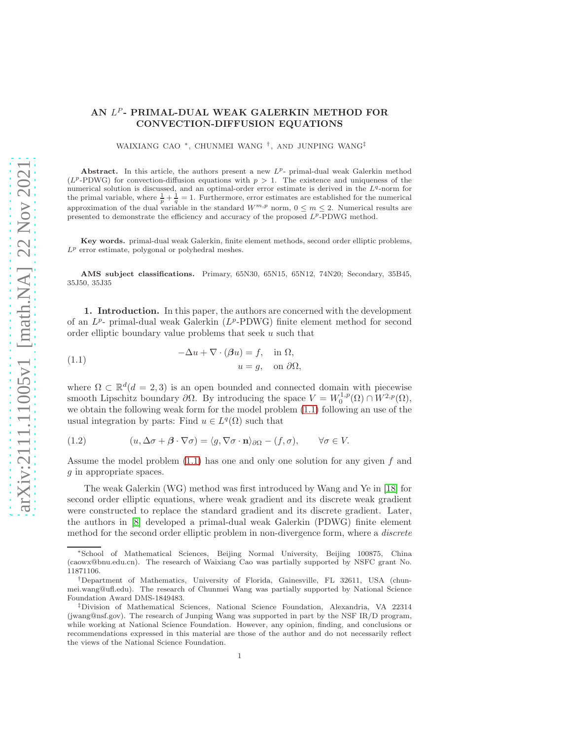## AN  $L^P$ - PRIMAL-DUAL WEAK GALERKIN METHOD FOR CONVECTION-DIFFUSION EQUATIONS

WAIXIANG CAO <sup>∗</sup> , CHUNMEI WANG † , AND JUNPING WANG‡

Abstract. In this article, the authors present a new  $L^{p}$ - primal-dual weak Galerkin method  $(L^p$ -PDWG) for convection-diffusion equations with  $p > 1$ . The existence and uniqueness of the numerical solution is discussed, and an optimal-order error estimate is derived in the  $L<sup>q</sup>$ -norm for the primal variable, where  $\frac{1}{p} + \frac{1}{q} = 1$ . Furthermore, error estimates are established for the numerical approximation of the dual variable in the standard  $W^{m,p}$  norm,  $0 \le m \le 2$ . Numerical results are presented to demonstrate the efficiency and accuracy of the proposed  $L^p$ -PDWG method.

Key words. primal-dual weak Galerkin, finite element methods, second order elliptic problems,  $L^p$  error estimate, polygonal or polyhedral meshes.

AMS subject classifications. Primary, 65N30, 65N15, 65N12, 74N20; Secondary, 35B45, 35J50, 35J35

1. Introduction. In this paper, the authors are concerned with the development of an  $L^{p}$ - primal-dual weak Galerkin ( $L^{p}$ -PDWG) finite element method for second order elliptic boundary value problems that seek u such that

<span id="page-0-0"></span>(1.1) 
$$
-\Delta u + \nabla \cdot (\beta u) = f, \text{ in } \Omega,
$$

$$
u = g, \text{ on } \partial \Omega,
$$

where  $\Omega \subset \mathbb{R}^d (d = 2, 3)$  is an open bounded and connected domain with piecewise smooth Lipschitz boundary  $\partial\Omega$ . By introducing the space  $V = W_0^{1,p}(\Omega) \cap W^{2,p}(\Omega)$ , we obtain the following weak form for the model problem [\(1.1\)](#page-0-0) following an use of the usual integration by parts: Find  $u \in L^q(\Omega)$  such that

<span id="page-0-1"></span>(1.2) 
$$
(u, \Delta \sigma + \beta \cdot \nabla \sigma) = \langle g, \nabla \sigma \cdot \mathbf{n} \rangle_{\partial \Omega} - (f, \sigma), \qquad \forall \sigma \in V.
$$

Assume the model problem  $(1.1)$  has one and only one solution for any given f and g in appropriate spaces.

The weak Galerkin (WG) method was first introduced by Wang and Ye in [\[18\]](#page-21-0) for second order elliptic equations, where weak gradient and its discrete weak gradient were constructed to replace the standard gradient and its discrete gradient. Later, the authors in [\[8\]](#page-20-0) developed a primal-dual weak Galerkin (PDWG) finite element method for the second order elliptic problem in non-divergence form, where a discrete

<sup>∗</sup>School of Mathematical Sciences, Beijing Normal University, Beijing 100875, China (caowx@bnu.edu.cn). The research of Waixiang Cao was partially supported by NSFC grant No. 11871106.

<sup>†</sup>Department of Mathematics, University of Florida, Gainesville, FL 32611, USA (chunmei.wang@ufl.edu). The research of Chunmei Wang was partially supported by National Science Foundation Award DMS-1849483.

<sup>‡</sup>Division of Mathematical Sciences, National Science Foundation, Alexandria, VA 22314 (jwang@nsf.gov). The research of Junping Wang was supported in part by the NSF IR/D program, while working at National Science Foundation. However, any opinion, finding, and conclusions or recommendations expressed in this material are those of the author and do not necessarily reflect the views of the National Science Foundation.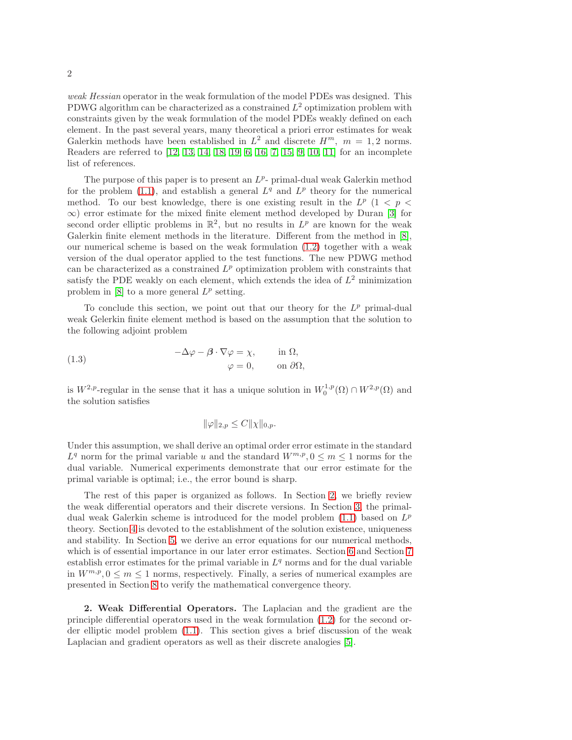weak Hessian operator in the weak formulation of the model PDEs was designed. This PDWG algorithm can be characterized as a constrained  $L^2$  optimization problem with constraints given by the weak formulation of the model PDEs weakly defined on each element. In the past several years, many theoretical a priori error estimates for weak Galerkin methods have been established in  $L^2$  and discrete  $H^m$ ,  $m = 1, 2$  norms. Readers are referred to [\[12,](#page-21-1) [13,](#page-21-2) [14,](#page-21-3) [18,](#page-21-0) [19,](#page-21-4) [6,](#page-20-1) [16,](#page-21-5) [7,](#page-20-2) [15,](#page-21-6) [9,](#page-20-3) [10,](#page-21-7) [11\]](#page-21-8) for an incomplete list of references.

The purpose of this paper is to present an  $L^p$ - primal-dual weak Galerkin method for the problem [\(1.1\)](#page-0-0), and establish a general  $L^q$  and  $L^p$  theory for the numerical method. To our best knowledge, there is one existing result in the  $L^p$  (1 < p <  $\infty$ ) error estimate for the mixed finite element method developed by Duran [\[3\]](#page-20-4) for second order elliptic problems in  $\mathbb{R}^2$ , but no results in  $L^p$  are known for the weak Galerkin finite element methods in the literature. Different from the method in [\[8\]](#page-20-0), our numerical scheme is based on the weak formulation [\(1.2\)](#page-0-1) together with a weak version of the dual operator applied to the test functions. The new PDWG method can be characterized as a constrained  $L^p$  optimization problem with constraints that satisfy the PDE weakly on each element, which extends the idea of  $L^2$  minimization problem in  $[8]$  to a more general  $L^p$  setting.

To conclude this section, we point out that our theory for the  $L^p$  primal-dual weak Gelerkin finite element method is based on the assumption that the solution to the following adjoint problem

(1.3) 
$$
-\Delta \varphi - \beta \cdot \nabla \varphi = \chi, \quad \text{in } \Omega, \varphi = 0, \quad \text{on } \partial \Omega,
$$

is  $W^{2,p}$ -regular in the sense that it has a unique solution in  $W_0^{1,p}(\Omega) \cap W^{2,p}(\Omega)$  and the solution satisfies

$$
\|\varphi\|_{2,p} \leq C \|\chi\|_{0,p}.
$$

Under this assumption, we shall derive an optimal order error estimate in the standard  $L^q$  norm for the primal variable u and the standard  $W^{m,p}$ ,  $0 \leq m \leq 1$  norms for the dual variable. Numerical experiments demonstrate that our error estimate for the primal variable is optimal; i.e., the error bound is sharp.

The rest of this paper is organized as follows. In Section [2,](#page-1-0) we briefly review the weak differential operators and their discrete versions. In Section [3,](#page-2-0) the primaldual weak Galerkin scheme is introduced for the model problem  $(1.1)$  based on  $L^p$ theory. Section [4](#page-4-0) is devoted to the establishment of the solution existence, uniqueness and stability. In Section [5,](#page-7-0) we derive an error equations for our numerical methods, which is of essential importance in our later error estimates. Section [6](#page-8-0) and Section [7](#page-12-0) establish error estimates for the primal variable in  $L<sup>q</sup>$  norms and for the dual variable in  $W^{m,p}, 0 \leq m \leq 1$  norms, respectively. Finally, a series of numerical examples are presented in Section [8](#page-14-0) to verify the mathematical convergence theory.

<span id="page-1-0"></span>2. Weak Differential Operators. The Laplacian and the gradient are the principle differential operators used in the weak formulation [\(1.2\)](#page-0-1) for the second order elliptic model problem [\(1.1\)](#page-0-0). This section gives a brief discussion of the weak Laplacian and gradient operators as well as their discrete analogies [\[5\]](#page-20-5).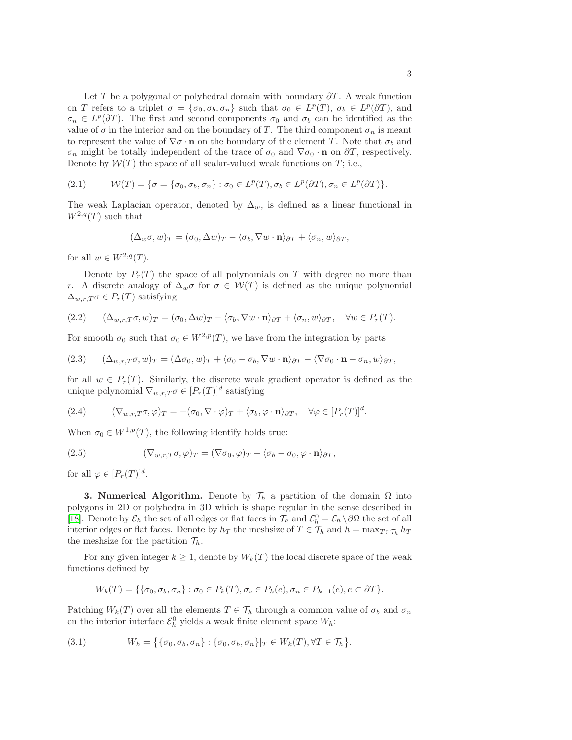Let T be a polygonal or polyhedral domain with boundary  $\partial T$ . A weak function on T refers to a triplet  $\sigma = {\sigma_0, \sigma_b, \sigma_n}$  such that  $\sigma_0 \in L^p(T)$ ,  $\sigma_b \in L^p(\partial T)$ , and  $\sigma_n \in L^p(\partial T)$ . The first and second components  $\sigma_0$  and  $\sigma_b$  can be identified as the value of  $\sigma$  in the interior and on the boundary of T. The third component  $\sigma_n$  is meant to represent the value of  $\nabla \sigma \cdot \mathbf{n}$  on the boundary of the element T. Note that  $\sigma_b$  and  $\sigma_n$  might be totally independent of the trace of  $\sigma_0$  and  $\nabla \sigma_0 \cdot \mathbf{n}$  on  $\partial T$ , respectively. Denote by  $W(T)$  the space of all scalar-valued weak functions on T; i.e.,

$$
(2.1) \qquad \mathcal{W}(T) = \{ \sigma = \{ \sigma_0, \sigma_b, \sigma_n \} : \sigma_0 \in L^p(T), \sigma_b \in L^p(\partial T), \sigma_n \in L^p(\partial T) \}.
$$

The weak Laplacian operator, denoted by  $\Delta_w$ , is defined as a linear functional in  $W^{2,q}(T)$  such that

$$
(\Delta_w \sigma, w)_T = (\sigma_0, \Delta w)_T - \langle \sigma_b, \nabla w \cdot \mathbf{n} \rangle_{\partial T} + \langle \sigma_n, w \rangle_{\partial T},
$$

for all  $w \in W^{2,q}(T)$ .

Denote by  $P_r(T)$  the space of all polynomials on T with degree no more than r. A discrete analogy of  $\Delta_w \sigma$  for  $\sigma \in \mathcal{W}(T)$  is defined as the unique polynomial  $\Delta_{w,r,T}\sigma \in P_r(T)$  satisfying

<span id="page-2-1"></span>
$$
(2.2) \qquad (\Delta_{w,r,T}\sigma,w)_T = (\sigma_0,\Delta w)_T - \langle \sigma_b, \nabla w \cdot \mathbf{n} \rangle_{\partial T} + \langle \sigma_n, w \rangle_{\partial T}, \quad \forall w \in P_r(T).
$$

For smooth  $\sigma_0$  such that  $\sigma_0 \in W^{2,p}(T)$ , we have from the integration by parts

<span id="page-2-3"></span>(2.3) 
$$
(\Delta_{w,r,T}\sigma,w)_T = (\Delta \sigma_0,w)_T + \langle \sigma_0 - \sigma_b, \nabla w \cdot \mathbf{n} \rangle_{\partial T} - \langle \nabla \sigma_0 \cdot \mathbf{n} - \sigma_n, w \rangle_{\partial T},
$$

for all  $w \in P_r(T)$ . Similarly, the discrete weak gradient operator is defined as the unique polynomial  $\nabla_{w,r,T}\sigma \in [P_r(T)]^d$  satisfying

<span id="page-2-2"></span>(2.4) 
$$
(\nabla_{w,r,T}\sigma,\varphi)_T = -(\sigma_0,\nabla\cdot\varphi)_T + \langle \sigma_b,\varphi\cdot\mathbf{n} \rangle_{\partial T}, \quad \forall \varphi \in [P_r(T)]^d.
$$

When  $\sigma_0 \in W^{1,p}(T)$ , the following identify holds true:

<span id="page-2-4"></span>(2.5) 
$$
(\nabla_{w,r,T}\sigma,\varphi)_T = (\nabla \sigma_0,\varphi)_T + \langle \sigma_b - \sigma_0, \varphi \cdot \mathbf{n} \rangle_{\partial T},
$$

<span id="page-2-0"></span>for all  $\varphi \in [P_r(T)]^d$ .

**3. Numerical Algorithm.** Denote by  $\mathcal{T}_h$  a partition of the domain  $\Omega$  into polygons in 2D or polyhedra in 3D which is shape regular in the sense described in [\[18\]](#page-21-0). Denote by  $\mathcal{E}_h$  the set of all edges or flat faces in  $\mathcal{T}_h$  and  $\mathcal{E}_h^0 = \mathcal{E}_h \setminus \partial\Omega$  the set of all interior edges or flat faces. Denote by  $h_T$  the meshsize of  $T \in \mathcal{T}_h$  and  $h = \max_{T \in \mathcal{T}_h} h_T$ the meshsize for the partition  $\mathcal{T}_h$ .

For any given integer  $k \geq 1$ , denote by  $W_k(T)$  the local discrete space of the weak functions defined by

$$
W_k(T) = \{ \{\sigma_0, \sigma_b, \sigma_n\} : \sigma_0 \in P_k(T), \sigma_b \in P_k(e), \sigma_n \in P_{k-1}(e), e \subset \partial T \}.
$$

Patching  $W_k(T)$  over all the elements  $T \in \mathcal{T}_h$  through a common value of  $\sigma_b$  and  $\sigma_n$ on the interior interface  $\mathcal{E}_h^0$  yields a weak finite element space  $W_h$ :

<span id="page-2-5"></span>
$$
(3.1) \t Wh = \{ \{\sigma_0, \sigma_b, \sigma_n\} : \{\sigma_0, \sigma_b, \sigma_n\} |_{T} \in W_k(T), \forall T \in \mathcal{T}_h \}.
$$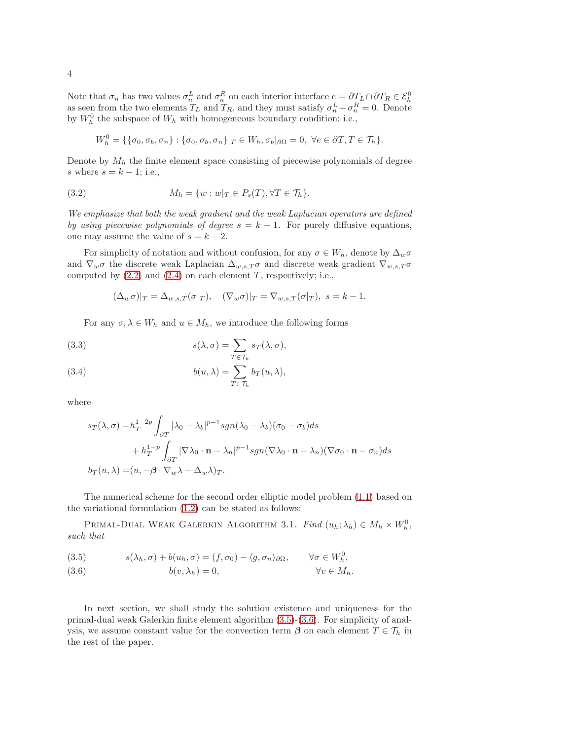Note that  $\sigma_n$  has two values  $\sigma_n^L$  and  $\sigma_n^R$  on each interior interface  $e = \partial T_L \cap \partial T_R \in \mathcal{E}_h^0$ as seen from the two elements  $T_L$  and  $T_R$ , and they must satisfy  $\sigma_n^L + \sigma_n^R = 0$ . Denote by  $W_h^0$  the subspace of  $W_h$  with homogeneous boundary condition; i.e.,

<span id="page-3-3"></span>
$$
W_h^0 = \{ \{\sigma_0, \sigma_b, \sigma_n\} : \{\sigma_0, \sigma_b, \sigma_n\} |_{T} \in W_h, \sigma_b |_{\partial \Omega} = 0, \ \forall e \in \partial T, T \in \mathcal{T}_h \}.
$$

Denote by  $M_h$  the finite element space consisting of piecewise polynomials of degree s where  $s = k - 1$ ; i.e.,

(3.2) 
$$
M_h = \{w : w|_T \in P_s(T), \forall T \in \mathcal{T}_h\}.
$$

We emphasize that both the weak gradient and the weak Laplacian operators are defined by using piecewise polynomials of degree  $s = k - 1$ . For purely diffusive equations, one may assume the value of  $s = k - 2$ .

For simplicity of notation and without confusion, for any  $\sigma \in W_h$ , denote by  $\Delta_w \sigma$ and  $\nabla_w \sigma$  the discrete weak Laplacian  $\Delta_{w,s,T} \sigma$  and discrete weak gradient  $\nabla_{w,s,T} \sigma$ computed by  $(2.2)$  and  $(2.4)$  on each element T, respectively; i.e.,

$$
(\Delta_w \sigma)|_T = \Delta_{w,s,T}(\sigma|_T), \quad (\nabla_w \sigma)|_T = \nabla_{w,s,T}(\sigma|_T), \ s = k - 1.
$$

For any  $\sigma, \lambda \in W_h$  and  $u \in M_h$ , we introduce the following forms

<span id="page-3-2"></span>(3.3) 
$$
s(\lambda, \sigma) = \sum_{T \in \mathcal{T}_h} s_T(\lambda, \sigma),
$$

<span id="page-3-1"></span>(3.4) 
$$
b(u, \lambda) = \sum_{T \in \mathcal{T}_h} b_T(u, \lambda),
$$

where

$$
s_T(\lambda, \sigma) = h_T^{1-2p} \int_{\partial T} |\lambda_0 - \lambda_b|^{p-1} sgn(\lambda_0 - \lambda_b) (\sigma_0 - \sigma_b) ds
$$
  
+ 
$$
h_T^{1-p} \int_{\partial T} |\nabla \lambda_0 \cdot \mathbf{n} - \lambda_n|^{p-1} sgn(\nabla \lambda_0 \cdot \mathbf{n} - \lambda_n) (\nabla \sigma_0 \cdot \mathbf{n} - \sigma_n) ds
$$
  

$$
b_T(u, \lambda) = (u, -\beta \cdot \nabla_w \lambda - \Delta_w \lambda)_T.
$$

The numerical scheme for the second order elliptic model problem [\(1.1\)](#page-0-0) based on the variational formulation [\(1.2\)](#page-0-1) can be stated as follows:

PRIMAL-DUAL WEAK GALERKIN ALGORITHM 3.1. Find  $(u_h; \lambda_h) \in M_h \times W_h^0$ , such that

<span id="page-3-0"></span>(3.5) 
$$
s(\lambda_h, \sigma) + b(u_h, \sigma) = (f, \sigma_0) - \langle g, \sigma_n \rangle_{\partial \Omega}, \qquad \forall \sigma \in W_h^0,
$$

(3.6) 
$$
b(v, \lambda_h) = 0, \qquad \forall v \in M_h.
$$

In next section, we shall study the solution existence and uniqueness for the primal-dual weak Galerkin finite element algorithm [\(3.5\)](#page-3-0)-[\(3.6\)](#page-3-0). For simplicity of analysis, we assume constant value for the convection term  $\beta$  on each element  $T \in \mathcal{T}_h$  in the rest of the paper.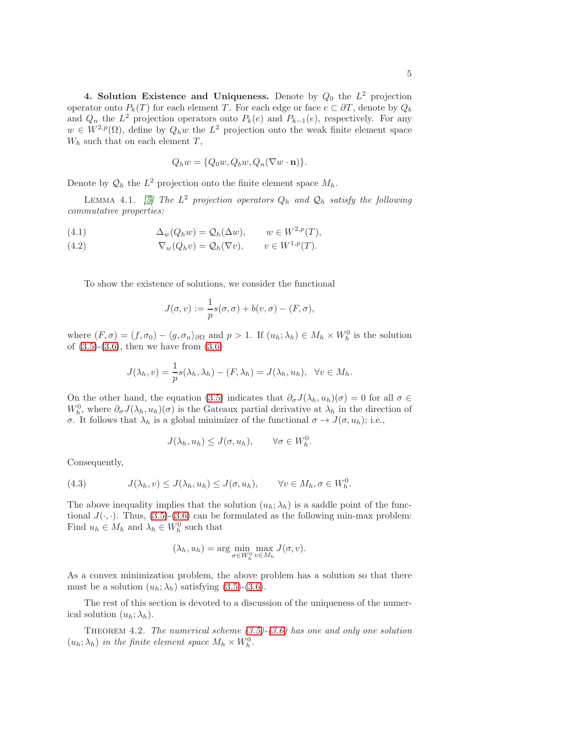<span id="page-4-0"></span>4. Solution Existence and Uniqueness. Denote by  $Q_0$  the  $L^2$  projection operator onto  $P_k(T)$  for each element T. For each edge or face  $e \subset \partial T$ , denote by  $Q_b$ and  $Q_n$  the  $L^2$  projection operators onto  $P_k(e)$  and  $P_{k-1}(e)$ , respectively. For any  $w \in W^{2,p}(\Omega)$ , define by  $Q_h w$  the  $L^2$  projection onto the weak finite element space  $W_h$  such that on each element  $T$ ,

<span id="page-4-1"></span>
$$
Q_h w = \{Q_0 w, Q_b w, Q_n (\nabla w \cdot \mathbf{n})\}.
$$

Denote by  $\mathcal{Q}_h$  the  $L^2$  projection onto the finite element space  $M_h$ .

LEMMA 4.1. [\[5\]](#page-20-5) The  $L^2$  projection operators  $Q_h$  and  $\mathcal{Q}_h$  satisfy the following commutative properties:

(4.1) 
$$
\Delta_w(Q_h w) = Q_h(\Delta w), \qquad w \in W^{2,p}(T),
$$

(4.2)  $\nabla_w(Q_h v) = Q_h(\nabla v), \qquad v \in W^{1,p}(T).$ 

To show the existence of solutions, we consider the functional

$$
J(\sigma, v) := \frac{1}{p}s(\sigma, \sigma) + b(v, \sigma) - (F, \sigma),
$$

where  $(F, \sigma) = (f, \sigma_0) - \langle g, \sigma_n \rangle_{\partial \Omega}$  and  $p > 1$ . If  $(u_h; \lambda_h) \in M_h \times W_h^0$  is the solution of  $(3.5)-(3.6)$  $(3.5)-(3.6)$ , then we have from  $(3.6)$ 

$$
J(\lambda_h, v) = \frac{1}{p}s(\lambda_h, \lambda_h) - (F, \lambda_h) = J(\lambda_h, u_h), \quad \forall v \in M_h.
$$

On the other hand, the equation [\(3.5\)](#page-3-0) indicates that  $\partial_{\sigma}J(\lambda_h, u_h)(\sigma) = 0$  for all  $\sigma \in$  $W_h^0$ , where  $\partial_{\sigma}J(\lambda_h, u_h)(\sigma)$  is the Gateaux partial derivative at  $\lambda_h$  in the direction of σ. It follows that  $\lambda_h$  is a global minimizer of the functional  $\sigma \to J(\sigma, u_h)$ ; i.e.,

$$
J(\lambda_h, u_h) \leq J(\sigma, u_h), \qquad \forall \sigma \in W_h^0.
$$

Consequently,

(4.3) 
$$
J(\lambda_h, v) \leq J(\lambda_h, u_h) \leq J(\sigma, u_h), \qquad \forall v \in M_h, \sigma \in W_h^0.
$$

The above inequality implies that the solution  $(u_h; \lambda_h)$  is a saddle point of the functional  $J(\cdot, \cdot)$ . Thus, [\(3.5\)](#page-3-0)-[\(3.6\)](#page-3-0) can be formulated as the following min-max problem: Find  $u_h \in M_h$  and  $\lambda_h \in W_h^0$  such that

$$
(\lambda_h, u_h) = \arg\min_{\sigma \in W_h^0} \max_{v \in M_h} J(\sigma, v).
$$

As a convex minimization problem, the above problem has a solution so that there must be a solution  $(u_h; \lambda_h)$  satisfying [\(3.5\)](#page-3-0)-[\(3.6\)](#page-3-0).

The rest of this section is devoted to a discussion of the uniqueness of the numerical solution  $(u_h; \lambda_h)$ .

THEOREM 4.2. The numerical scheme  $(3.5)-(3.6)$  $(3.5)-(3.6)$  has one and only one solution  $(u_h; \lambda_h)$  in the finite element space  $M_h \times W_h^0$ .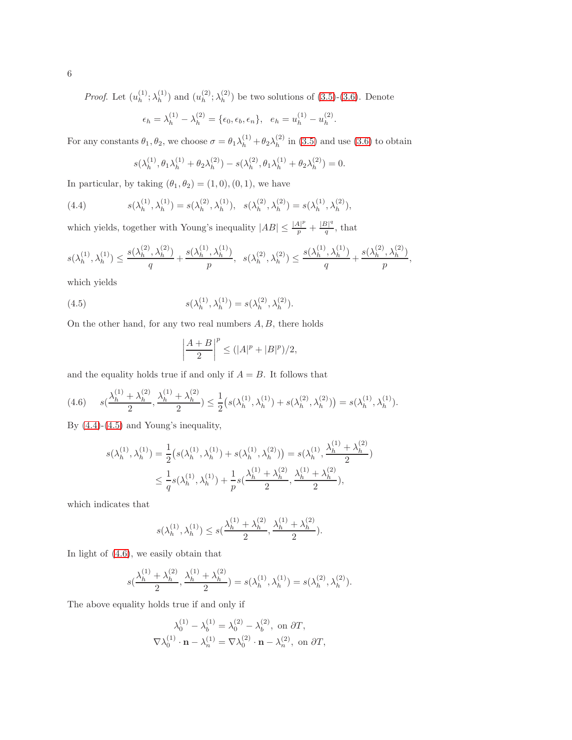*Proof.* Let  $(u_h^{(1)})$  $\lambda_h^{(1)}$ ;  $\lambda_h^{(1)}$  $\binom{1}{h}$  and  $\binom{u^{(2)}_h}{h}$  $_{h}^{(2)};\lambda _{h}^{(2)}$  $\binom{2}{h}$  be two solutions of  $(3.5)-(3.6)$  $(3.5)-(3.6)$ . Denote

$$
\epsilon_h = \lambda_h^{(1)} - \lambda_h^{(2)} = {\epsilon_0, \epsilon_b, \epsilon_n}, \ \ e_h = u_h^{(1)} - u_h^{(2)}
$$

.

For any constants  $\theta_1, \theta_2$ , we choose  $\sigma = \theta_1 \lambda_h^{(1)} + \theta_2 \lambda_h^{(2)}$  $\binom{1}{h}$  in [\(3.5\)](#page-3-0) and use [\(3.6\)](#page-3-0) to obtain

<span id="page-5-0"></span>
$$
s(\lambda_h^{(1)}, \theta_1 \lambda_h^{(1)} + \theta_2 \lambda_h^{(2)}) - s(\lambda_h^{(2)}, \theta_1 \lambda_h^{(1)} + \theta_2 \lambda_h^{(2)}) = 0.
$$

In particular, by taking  $(\theta_1, \theta_2) = (1, 0), (0, 1)$ , we have

(4.4) 
$$
s(\lambda_h^{(1)}, \lambda_h^{(1)}) = s(\lambda_h^{(2)}, \lambda_h^{(1)}), \quad s(\lambda_h^{(2)}, \lambda_h^{(2)}) = s(\lambda_h^{(1)}, \lambda_h^{(2)}),
$$

which yields, together with Young's inequality  $|AB| \leq \frac{|A|^p}{p} + \frac{|B|^q}{q}$  $\frac{p_1}{q}$ , that

$$
s(\lambda_h^{(1)},\lambda_h^{(1)}) \le \frac{s(\lambda_h^{(2)},\lambda_h^{(2)})}{q} + \frac{s(\lambda_h^{(1)},\lambda_h^{(1)})}{p}, \ \ s(\lambda_h^{(2)},\lambda_h^{(2)}) \le \frac{s(\lambda_h^{(1)},\lambda_h^{(1)})}{q} + \frac{s(\lambda_h^{(2)},\lambda_h^{(2)})}{p},
$$

which yields

(4.5) 
$$
s(\lambda_h^{(1)}, \lambda_h^{(1)}) = s(\lambda_h^{(2)}, \lambda_h^{(2)}).
$$

On the other hand, for any two real numbers  $A, B$ , there holds

<span id="page-5-1"></span>
$$
\left|\frac{A+B}{2}\right|^p \le (|A|^p + |B|^p)/2,
$$

and the equality holds true if and only if  $A = B$ . It follows that

<span id="page-5-2"></span>
$$
(4.6) \t s(\frac{\lambda_h^{(1)} + \lambda_h^{(2)}}{2}, \frac{\lambda_h^{(1)} + \lambda_h^{(2)}}{2}) \leq \frac{1}{2} \big( s(\lambda_h^{(1)}, \lambda_h^{(1)}) + s(\lambda_h^{(2)}, \lambda_h^{(2)}) \big) = s(\lambda_h^{(1)}, \lambda_h^{(1)}).
$$

By [\(4.4\)](#page-5-0)-[\(4.5\)](#page-5-1) and Young's inequality,

$$
s(\lambda_h^{(1)}, \lambda_h^{(1)}) = \frac{1}{2} \left( s(\lambda_h^{(1)}, \lambda_h^{(1)}) + s(\lambda_h^{(1)}, \lambda_h^{(2)}) \right) = s(\lambda_h^{(1)}, \frac{\lambda_h^{(1)} + \lambda_h^{(2)}}{2})
$$
  

$$
\leq \frac{1}{q} s(\lambda_h^{(1)}, \lambda_h^{(1)}) + \frac{1}{p} s(\frac{\lambda_h^{(1)} + \lambda_h^{(2)}}{2}, \frac{\lambda_h^{(1)} + \lambda_h^{(2)}}{2}),
$$

which indicates that

$$
s(\lambda_h^{(1)},\lambda_h^{(1)}) \le s(\frac{\lambda_h^{(1)} + \lambda_h^{(2)}}{2},\frac{\lambda_h^{(1)} + \lambda_h^{(2)}}{2}).
$$

In light of [\(4.6\)](#page-5-2), we easily obtain that

$$
s(\frac{\lambda_h^{(1)} + \lambda_h^{(2)}}{2}, \frac{\lambda_h^{(1)} + \lambda_h^{(2)}}{2}) = s(\lambda_h^{(1)}, \lambda_h^{(1)}) = s(\lambda_h^{(2)}, \lambda_h^{(2)}).
$$

The above equality holds true if and only if

$$
\lambda_0^{(1)} - \lambda_b^{(1)} = \lambda_0^{(2)} - \lambda_b^{(2)}, \text{ on } \partial T,
$$
  

$$
\nabla \lambda_0^{(1)} \cdot \mathbf{n} - \lambda_n^{(1)} = \nabla \lambda_0^{(2)} \cdot \mathbf{n} - \lambda_n^{(2)}, \text{ on } \partial T,
$$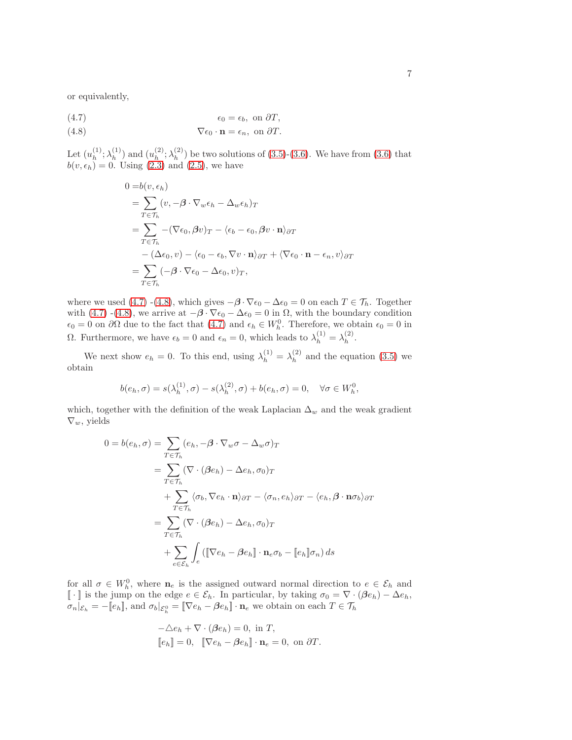or equivalently,

(4.7) 
$$
\epsilon_0 = \epsilon_b, \text{ on } \partial T,
$$

$$
\nabla \epsilon_0 \cdot \mathbf{n} = \epsilon_n, \text{ on } \partial T.
$$

Let  $(u_h^{(1)}$  $\lambda_h^{(1)}$ ;  $\lambda_h^{(1)}$  $\binom{1}{h}$  and  $\binom{u^{(2)}_h}{h}$  $\chi_h^{(2)}$ ;  $\lambda_h^{(2)}$  $\binom{2}{h}$  be two solutions of [\(3.5\)](#page-3-0)-[\(3.6\)](#page-3-0). We have from [\(3.6\)](#page-3-0) that  $b(v, \epsilon_h) = 0$ . Using [\(2.3\)](#page-2-3) and [\(2.5\)](#page-2-4), we have

<span id="page-6-0"></span>
$$
0 = b(v, \epsilon_h)
$$
  
=  $\sum_{T \in \mathcal{T}_h} (v, -\boldsymbol{\beta} \cdot \nabla_w \epsilon_h - \Delta_w \epsilon_h)_T$   
=  $\sum_{T \in \mathcal{T}_h} -(\nabla \epsilon_0, \boldsymbol{\beta} v)_T - \langle \epsilon_b - \epsilon_0, \boldsymbol{\beta} v \cdot \mathbf{n} \rangle_{\partial T}$   
-  $(\Delta \epsilon_0, v) - \langle \epsilon_0 - \epsilon_b, \nabla v \cdot \mathbf{n} \rangle_{\partial T} + \langle \nabla \epsilon_0 \cdot \mathbf{n} - \epsilon_n, v \rangle_{\partial T}$   
=  $\sum_{T \in \mathcal{T}_h} (-\boldsymbol{\beta} \cdot \nabla \epsilon_0 - \Delta \epsilon_0, v)_T,$ 

where we used [\(4.7\)](#page-6-0) -[\(4.8\)](#page-6-0), which gives  $-\beta \cdot \nabla \epsilon_0 - \Delta \epsilon_0 = 0$  on each  $T \in \mathcal{T}_h$ . Together with [\(4.7\)](#page-6-0) -[\(4.8\)](#page-6-0), we arrive at  $-\beta \cdot \nabla \epsilon_0 - \Delta \epsilon_0 = 0$  in  $\Omega$ , with the boundary condition  $\epsilon_0 = 0$  on  $\partial\Omega$  due to the fact that  $(4.7)$  and  $\epsilon_h \in W_h^0$ . Therefore, we obtain  $\epsilon_0 = 0$  in Ω. Furthermore, we have  $\epsilon_b = 0$  and  $\epsilon_n = 0$ , which leads to  $\lambda_h^{(1)} = \lambda_h^{(2)}$  $h^{(2)}$ .

We next show  $e_h = 0$ . To this end, using  $\lambda_h^{(1)} = \lambda_h^{(2)}$  $h^{(2)}$  and the equation [\(3.5\)](#page-3-0) we obtain

$$
b(e_h, \sigma) = s(\lambda_h^{(1)}, \sigma) - s(\lambda_h^{(2)}, \sigma) + b(e_h, \sigma) = 0, \quad \forall \sigma \in W_h^0,
$$

which, together with the definition of the weak Laplacian  $\Delta_w$  and the weak gradient  $\nabla_w$ , yields

$$
0 = b(e_h, \sigma) = \sum_{T \in \mathcal{T}_h} (e_h, -\beta \cdot \nabla_w \sigma - \Delta_w \sigma)_T
$$
  
\n
$$
= \sum_{T \in \mathcal{T}_h} (\nabla \cdot (\beta e_h) - \Delta e_h, \sigma_0)_T
$$
  
\n
$$
+ \sum_{T \in \mathcal{T}_h} \langle \sigma_b, \nabla e_h \cdot \mathbf{n} \rangle_{\partial T} - \langle \sigma_n, e_h \rangle_{\partial T} - \langle e_h, \beta \cdot \mathbf{n} \sigma_b \rangle_{\partial T}
$$
  
\n
$$
= \sum_{T \in \mathcal{T}_h} (\nabla \cdot (\beta e_h) - \Delta e_h, \sigma_0)_T
$$
  
\n
$$
+ \sum_{e \in \mathcal{E}_h} \int_e (\llbracket \nabla e_h - \beta e_h \rrbracket \cdot \mathbf{n}_e \sigma_b - \llbracket e_h \rrbracket \sigma_n) ds
$$

for all  $\sigma \in W_h^0$ , where  $\mathbf{n}_e$  is the assigned outward normal direction to  $e \in \mathcal{E}_h$  and [ $\cdot$ ] is the jump on the edge  $e \in \mathcal{E}_h$ . In particular, by taking  $\sigma_0 = \nabla \cdot (\beta e_h) - \Delta e_h$ ,  $\sigma_n|_{\mathcal{E}_h} = -[\![e_h]\!],$  and  $\sigma_b|_{\mathcal{E}_h^0} = [\![\nabla e_h - \beta e_h]\!] \cdot \mathbf{n}_e$  we obtain on each  $T \in \mathcal{T}_h$ 

$$
-\Delta e_h + \nabla \cdot (\beta e_h) = 0, \text{ in } T,
$$
  

$$
[\![e_h]\!] = 0, \quad [\![\nabla e_h - \beta e_h]\!] \cdot \mathbf{n}_e = 0, \text{ on } \partial T.
$$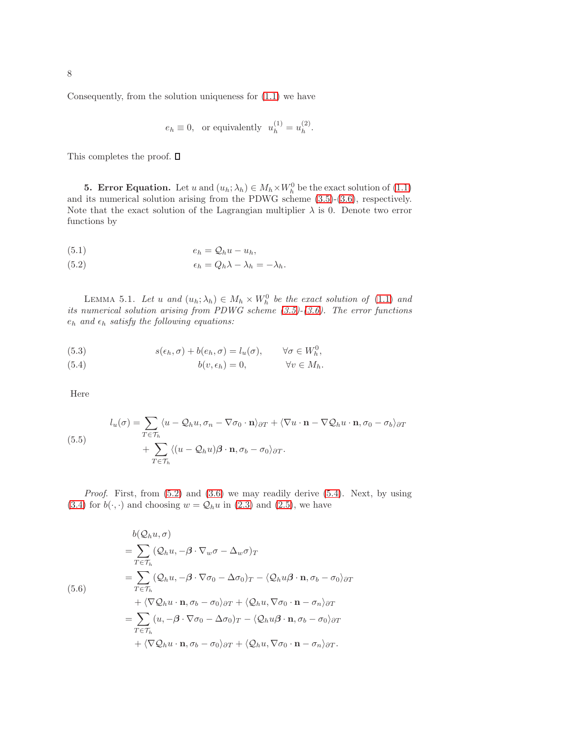Consequently, from the solution uniqueness for [\(1.1\)](#page-0-0) we have

$$
e_h\equiv 0,\ \ \text{or equivalently}\ \ u_h^{(1)}=u_h^{(2)}.
$$

<span id="page-7-0"></span>This completes the proof.  $\square$ 

**5. Error Equation.** Let u and  $(u_h; \lambda_h) \in M_h \times W_h^0$  be the exact solution of [\(1.1\)](#page-0-0) and its numerical solution arising from the PDWG scheme [\(3.5\)](#page-3-0)-[\(3.6\)](#page-3-0), respectively. Note that the exact solution of the Lagrangian multiplier  $\lambda$  is 0. Denote two error functions by

$$
(5.1) \t\t eh = Qhu - uh,
$$

<span id="page-7-1"></span>(5.2) 
$$
\epsilon_h = Q_h \lambda - \lambda_h = -\lambda_h.
$$

LEMMA 5.1. Let u and  $(u_h; \lambda_h) \in M_h \times W_h^0$  be the exact solution of [\(1.1\)](#page-0-0) and its numerical solution arising from PDWG scheme [\(3.5\)](#page-3-0)-[\(3.6\)](#page-3-0). The error functions  $e_h$  and  $\epsilon_h$  satisfy the following equations:

<span id="page-7-2"></span>(5.3) 
$$
s(\epsilon_h, \sigma) + b(e_h, \sigma) = l_u(\sigma), \qquad \forall \sigma \in W_h^0,
$$

(5.4) 
$$
b(v, \epsilon_h) = 0, \qquad \forall v \in M_h.
$$

Here

<span id="page-7-3"></span>(5.5)  

$$
l_u(\sigma) = \sum_{T \in \mathcal{T}_h} \langle u - \mathcal{Q}_h u, \sigma_n - \nabla \sigma_0 \cdot \mathbf{n} \rangle_{\partial T} + \langle \nabla u \cdot \mathbf{n} - \nabla \mathcal{Q}_h u \cdot \mathbf{n}, \sigma_0 - \sigma_b \rangle_{\partial T} + \sum_{T \in \mathcal{T}_h} \langle (u - \mathcal{Q}_h u) \beta \cdot \mathbf{n}, \sigma_b - \sigma_0 \rangle_{\partial T}.
$$

Proof. First, from [\(5.2\)](#page-7-1) and [\(3.6\)](#page-3-0) we may readily derive [\(5.4\)](#page-7-2). Next, by using [\(3.4\)](#page-3-1) for  $b(\cdot, \cdot)$  and choosing  $w = Q_h u$  in [\(2.3\)](#page-2-3) and [\(2.5\)](#page-2-4), we have

$$
b(Q_hu, \sigma)
$$
  
=  $\sum_{T \in \mathcal{T}_h} (Q_hu, -\beta \cdot \nabla_w \sigma - \Delta_w \sigma)_T$   
=  $\sum_{T \in \mathcal{T}_h} (Q_hu, -\beta \cdot \nabla \sigma_0 - \Delta \sigma_0)_T - \langle Q_hu\beta \cdot \mathbf{n}, \sigma_b - \sigma_0 \rangle_{\partial T}$   
+  $\langle \nabla Q_hu \cdot \mathbf{n}, \sigma_b - \sigma_0 \rangle_{\partial T} + \langle Q_hu, \nabla \sigma_0 \cdot \mathbf{n} - \sigma_n \rangle_{\partial T}$   
=  $\sum_{T \in \mathcal{T}_h} (u, -\beta \cdot \nabla \sigma_0 - \Delta \sigma_0)_T - \langle Q_hu\beta \cdot \mathbf{n}, \sigma_b - \sigma_0 \rangle_{\partial T}$   
+  $\langle \nabla Q_hu \cdot \mathbf{n}, \sigma_b - \sigma_0 \rangle_{\partial T} + \langle Q_hu, \nabla \sigma_0 \cdot \mathbf{n} - \sigma_n \rangle_{\partial T}$ .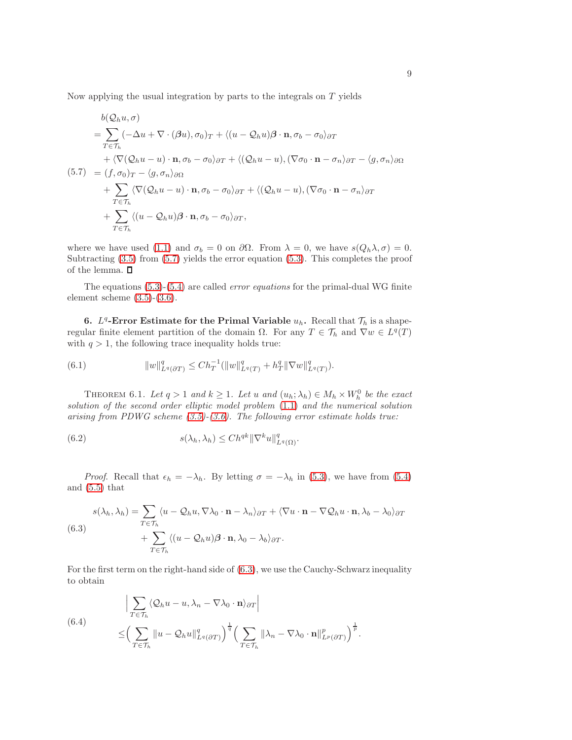Now applying the usual integration by parts to the integrals on  $T$  yields

<span id="page-8-1"></span>
$$
b(Q_hu, \sigma)
$$
  
=  $\sum_{T \in \mathcal{T}_h} (-\Delta u + \nabla \cdot (\beta u), \sigma_0)_T + \langle (u - Q_hu) \beta \cdot \mathbf{n}, \sigma_b - \sigma_0 \rangle_{\partial T}$   
+  $\langle \nabla (Q_hu - u) \cdot \mathbf{n}, \sigma_b - \sigma_0 \rangle_{\partial T} + \langle (Q_hu - u), (\nabla \sigma_0 \cdot \mathbf{n} - \sigma_n \rangle_{\partial T} - \langle g, \sigma_n \rangle_{\partial \Omega}$   
(5.7) =  $(f, \sigma_0)_T - \langle g, \sigma_n \rangle_{\partial \Omega}$   
+  $\sum_{T \in \mathcal{T}_h} \langle \nabla (Q_hu - u) \cdot \mathbf{n}, \sigma_b - \sigma_0 \rangle_{\partial T} + \langle (Q_hu - u), (\nabla \sigma_0 \cdot \mathbf{n} - \sigma_n \rangle_{\partial T}$   
+  $\sum_{T \in \mathcal{T}_h} \langle (u - Q_hu) \beta \cdot \mathbf{n}, \sigma_b - \sigma_0 \rangle_{\partial T},$ 

where we have used [\(1.1\)](#page-0-0) and  $\sigma_b = 0$  on  $\partial\Omega$ . From  $\lambda = 0$ , we have  $s(Q_h\lambda, \sigma) = 0$ . Subtracting  $(3.5)$  from  $(5.7)$  yields the error equation  $(5.3)$ . This completes the proof of the lemma.  $\square$ 

The equations  $(5.3)-(5.4)$  $(5.3)-(5.4)$  are called *error equations* for the primal-dual WG finite element scheme [\(3.5\)](#page-3-0)-[\(3.6\)](#page-3-0).

<span id="page-8-0"></span>6.  $L^q$ -Error Estimate for the Primal Variable  $u_h$ . Recall that  $\mathcal{T}_h$  is a shaperegular finite element partition of the domain  $\Omega$ . For any  $T \in \mathcal{T}_h$  and  $\nabla w \in L^q(T)$ with  $q > 1$ , the following trace inequality holds true:

<span id="page-8-3"></span>(6.1) 
$$
||w||_{L^q(\partial T)}^q \leq Ch_T^{-1}(||w||_{L^q(T)}^q + h_T^q ||\nabla w||_{L^q(T)}^q).
$$

<span id="page-8-6"></span>THEOREM 6.1. Let  $q > 1$  and  $k \geq 1$ . Let u and  $(u_h; \lambda_h) \in M_h \times W_h^0$  be the exact solution of the second order elliptic model problem [\(1.1\)](#page-0-0) and the numerical solution arising from PDWG scheme  $(3.5)-(3.6)$  $(3.5)-(3.6)$ . The following error estimate holds true:

<span id="page-8-5"></span>(6.2) 
$$
s(\lambda_h, \lambda_h) \leq Ch^{qk} \|\nabla^k u\|_{L^q(\Omega)}^q
$$

*Proof.* Recall that  $\epsilon_h = -\lambda_h$ . By letting  $\sigma = -\lambda_h$  in [\(5.3\)](#page-7-2), we have from [\(5.4\)](#page-7-2) and [\(5.5\)](#page-7-3) that

<span id="page-8-2"></span>(6.3)  

$$
s(\lambda_h, \lambda_h) = \sum_{T \in \mathcal{T}_h} \langle u - \mathcal{Q}_h u, \nabla \lambda_0 \cdot \mathbf{n} - \lambda_n \rangle_{\partial T} + \langle \nabla u \cdot \mathbf{n} - \nabla \mathcal{Q}_h u \cdot \mathbf{n}, \lambda_b - \lambda_0 \rangle_{\partial T} + \sum_{T \in \mathcal{T}_h} \langle (u - \mathcal{Q}_h u) \beta \cdot \mathbf{n}, \lambda_0 - \lambda_b \rangle_{\partial T}.
$$

For the first term on the right-hand side of [\(6.3\)](#page-8-2), we use the Cauchy-Schwarz inequality to obtain

<span id="page-8-4"></span>(6.4)  
\n
$$
\left| \sum_{T \in \mathcal{T}_h} \langle \mathcal{Q}_h u - u, \lambda_n - \nabla \lambda_0 \cdot \mathbf{n} \rangle_{\partial T} \right|
$$
\n
$$
\leq \left( \sum_{T \in \mathcal{T}_h} ||u - \mathcal{Q}_h u||_{L^q(\partial T)}^q \right)^{\frac{1}{q}} \left( \sum_{T \in \mathcal{T}_h} ||\lambda_n - \nabla \lambda_0 \cdot \mathbf{n}||_{L^p(\partial T)}^p \right)^{\frac{1}{p}}.
$$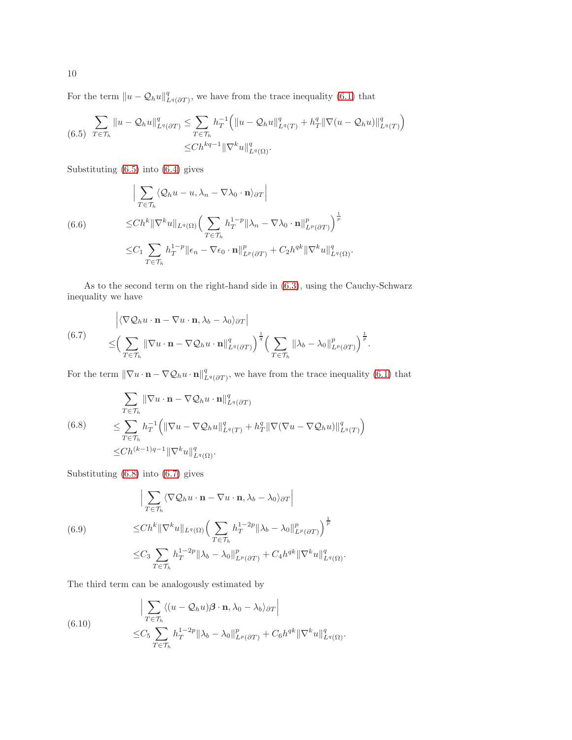For the term  $||u - \mathcal{Q}_h u||^q_{L^q(\partial T)}$ , we have from the trace inequality [\(6.1\)](#page-8-3) that

<span id="page-9-0"></span>
$$
\sum_{(6.5)} \sum_{T \in \mathcal{T}_h} \|u - \mathcal{Q}_h u\|_{L^q(\partial T)}^q \le \sum_{T \in \mathcal{T}_h} h_T^{-1} \left( \|u - \mathcal{Q}_h u\|_{L^q(T)}^q + h_T^q \|\nabla (u - \mathcal{Q}_h u)\|_{L^q(T)}^q \right) \le Ch^{kq-1} \|\nabla^k u\|_{L^q(\Omega)}^q.
$$

Substituting [\(6.5\)](#page-9-0) into [\(6.4\)](#page-8-4) gives

<span id="page-9-3"></span>
$$
\left| \sum_{T \in \mathcal{T}_h} \langle \mathcal{Q}_h u - u, \lambda_n - \nabla \lambda_0 \cdot \mathbf{n} \rangle_{\partial T} \right|
$$
  
(6.6)  

$$
\leq Ch^k \|\nabla^k u\|_{L^q(\Omega)} \Big( \sum_{T \in \mathcal{T}_h} h_T^{1-p} \|\lambda_n - \nabla \lambda_0 \cdot \mathbf{n}\|_{L^p(\partial T)}^p \Big)^{\frac{1}{p}}
$$
  

$$
\leq C_1 \sum_{T \in \mathcal{T}_h} h_T^{1-p} \|\epsilon_n - \nabla \epsilon_0 \cdot \mathbf{n}\|_{L^p(\partial T)}^p + C_2 h^{qk} \|\nabla^k u\|_{L^q(\Omega)}^q.
$$

As to the second term on the right-hand side in [\(6.3\)](#page-8-2), using the Cauchy-Schwarz inequality we have

<span id="page-9-2"></span>(6.7) 
$$
\begin{aligned}\n&\left|\langle \nabla \mathcal{Q}_h u \cdot \mathbf{n} - \nabla u \cdot \mathbf{n}, \lambda_b - \lambda_0 \rangle_{\partial T}\right| \\
&\leq \left(\sum_{T \in \mathcal{T}_h} \|\nabla u \cdot \mathbf{n} - \nabla \mathcal{Q}_h u \cdot \mathbf{n}\|_{L^q(\partial T)}^q\right)^{\frac{1}{q}} \left(\sum_{T \in \mathcal{T}_h} \|\lambda_b - \lambda_0\|_{L^p(\partial T)}^p\right)^{\frac{1}{p}}.\n\end{aligned}
$$

For the term  $\|\nabla u \cdot \mathbf{n} - \nabla \mathcal{Q}_h u \cdot \mathbf{n}\|_{L^q(\partial T)}^q$ , we have from the trace inequality [\(6.1\)](#page-8-3) that

<span id="page-9-1"></span>
$$
\sum_{T \in \mathcal{T}_h} \|\nabla u \cdot \mathbf{n} - \nabla \mathcal{Q}_h u \cdot \mathbf{n}\|_{L^q(\partial T)}^q
$$
\n
$$
(6.8) \leq \sum_{T \in \mathcal{T}_h} h_T^{-1} \left( \|\nabla u - \nabla \mathcal{Q}_h u\|_{L^q(T)}^q + h_T^q \|\nabla (\nabla u - \nabla \mathcal{Q}_h u)\|_{L^q(T)}^q \right)
$$
\n
$$
\leq Ch^{(k-1)q-1} \|\nabla^k u\|_{L^q(\Omega)}^q.
$$

Substituting [\(6.8\)](#page-9-1) into [\(6.7\)](#page-9-2) gives

<span id="page-9-4"></span>(6.9)  
\n
$$
\left| \sum_{T \in \mathcal{T}_h} \langle \nabla \mathcal{Q}_h u \cdot \mathbf{n} - \nabla u \cdot \mathbf{n}, \lambda_b - \lambda_0 \rangle_{\partial T} \right|
$$
\n
$$
\leq Ch^k \|\nabla^k u\|_{L^q(\Omega)} \left( \sum_{T \in \mathcal{T}_h} h_T^{1-2p} \|\lambda_b - \lambda_0\|_{L^p(\partial T)}^p \right)^{\frac{1}{p}}
$$
\n
$$
\leq C_3 \sum_{T \in \mathcal{T}_h} h_T^{1-2p} \|\lambda_b - \lambda_0\|_{L^p(\partial T)}^p + C_4 h^{qk} \|\nabla^k u\|_{L^q(\Omega)}^q.
$$

The third term can be analogously estimated by

<span id="page-9-5"></span>(6.10)  
\n
$$
\left| \sum_{T \in \mathcal{T}_h} \langle (u - \mathcal{Q}_h u) \boldsymbol{\beta} \cdot \mathbf{n}, \lambda_0 - \lambda_b \rangle_{\partial T} \right|
$$
\n
$$
\leq C_5 \sum_{T \in \mathcal{T}_h} h_T^{1 - 2p} \|\lambda_b - \lambda_0\|_{L^p(\partial T)}^p + C_6 h^{qk} \|\nabla^k u\|_{L^q(\Omega)}^q.
$$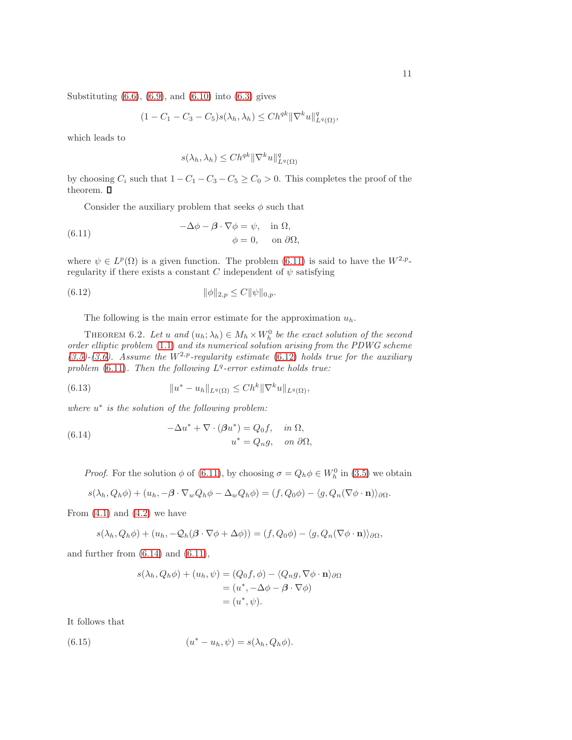Substituting  $(6.6)$ ,  $(6.9)$ , and  $(6.10)$  into  $(6.3)$  gives

$$
(1 - C_1 - C_3 - C_5)s(\lambda_h, \lambda_h) \le Ch^{qk} \|\nabla^k u\|_{L^q(\Omega)}^q,
$$

which leads to

$$
s(\lambda_h, \lambda_h) \le Ch^{qk} \|\nabla^k u\|_{L^q(\Omega)}^q
$$

by choosing  $C_i$  such that  $1 - C_1 - C_3 - C_5 \ge C_0 > 0$ . This completes the proof of the theorem.  $\blacksquare$ 

Consider the auxiliary problem that seeks  $\phi$  such that

<span id="page-10-0"></span>(6.11) 
$$
-\Delta \phi - \beta \cdot \nabla \phi = \psi, \text{ in } \Omega, \phi = 0, \text{ on } \partial \Omega,
$$

where  $\psi \in L^p(\Omega)$  is a given function. The problem [\(6.11\)](#page-10-0) is said to have the  $W^{2,p}$ regularity if there exists a constant C independent of  $\psi$  satisfying

(6.12) 
$$
\|\phi\|_{2,p} \le C \|\psi\|_{0,p}.
$$

<span id="page-10-1"></span>The following is the main error estimate for the approximation  $u_h$ .

<span id="page-10-4"></span>THEOREM 6.2. Let u and  $(u_h; \lambda_h) \in M_h \times W_h^0$  be the exact solution of the second order elliptic problem [\(1.1\)](#page-0-0) and its numerical solution arising from the PDWG scheme  $(3.5)-(3.6)$  $(3.5)-(3.6)$  $(3.5)-(3.6)$ . Assume the  $W^{2,p}$ -regularity estimate [\(6.12\)](#page-10-1) holds true for the auxiliary problem [\(6.11\)](#page-10-0). Then the following  $L^q$ -error estimate holds true:

(6.13) 
$$
||u^* - u_h||_{L^q(\Omega)} \leq Ch^k ||\nabla^k u||_{L^q(\Omega)},
$$

where  $u^*$  is the solution of the following problem:

<span id="page-10-2"></span>(6.14) 
$$
-\Delta u^* + \nabla \cdot (\beta u^*) = Q_0 f, \text{ in } \Omega,
$$

$$
u^* = Q_n g, \text{ on } \partial \Omega,
$$

*Proof.* For the solution  $\phi$  of [\(6.11\)](#page-10-0), by choosing  $\sigma = Q_h \phi \in W_h^0$  in [\(3.5\)](#page-3-0) we obtain

$$
s(\lambda_h, Q_h \phi) + (u_h, -\beta \cdot \nabla_w Q_h \phi - \Delta_w Q_h \phi) = (f, Q_0 \phi) - \langle g, Q_n (\nabla \phi \cdot \mathbf{n}) \rangle_{\partial \Omega}.
$$

From  $(4.1)$  and  $(4.2)$  we have

$$
s(\lambda_h, Q_h \phi) + (u_h, -Q_h(\beta \cdot \nabla \phi + \Delta \phi)) = (f, Q_0 \phi) - \langle g, Q_n(\nabla \phi \cdot \mathbf{n}) \rangle_{\partial \Omega},
$$

and further from  $(6.14)$  and  $(6.11)$ ,

<span id="page-10-3"></span>
$$
s(\lambda_h, Q_h \phi) + (u_h, \psi) = (Q_0 f, \phi) - \langle Q_n g, \nabla \phi \cdot \mathbf{n} \rangle_{\partial \Omega}
$$
  
=  $(u^*, -\Delta \phi - \beta \cdot \nabla \phi)$   
=  $(u^*, \psi)$ .

It follows that

(6.15) 
$$
(u^* - u_h, \psi) = s(\lambda_h, Q_h \phi).
$$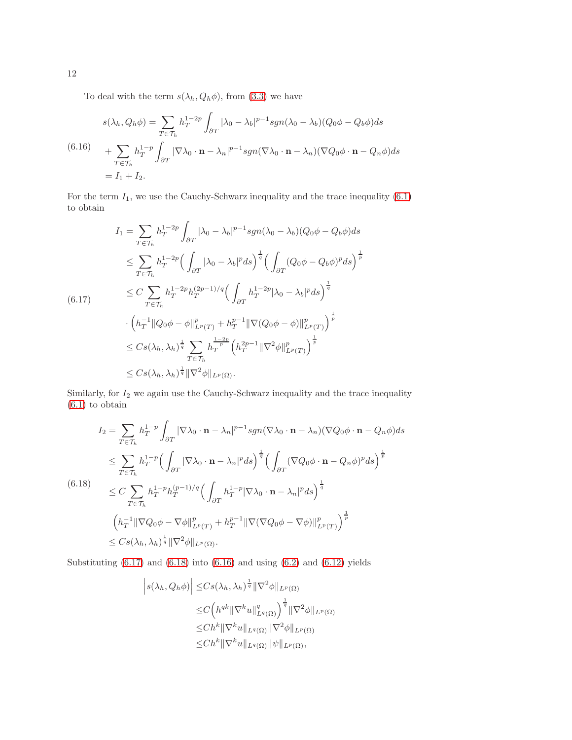To deal with the term  $s(\lambda_h, Q_h \phi)$ , from [\(3.3\)](#page-3-2) we have

<span id="page-11-2"></span>
$$
s(\lambda_h, Q_h \phi) = \sum_{T \in \mathcal{T}_h} h_T^{1-2p} \int_{\partial T} |\lambda_0 - \lambda_b|^{p-1} sgn(\lambda_0 - \lambda_b)(Q_0 \phi - Q_b \phi) ds
$$
  
(6.16)  

$$
+ \sum_{T \in \mathcal{T}_h} h_T^{1-p} \int_{\partial T} |\nabla \lambda_0 \cdot \mathbf{n} - \lambda_n|^{p-1} sgn(\nabla \lambda_0 \cdot \mathbf{n} - \lambda_n)(\nabla Q_0 \phi \cdot \mathbf{n} - Q_n \phi) ds
$$
  

$$
= I_1 + I_2.
$$

For the term  $I_1$ , we use the Cauchy-Schwarz inequality and the trace inequality [\(6.1\)](#page-8-3) to obtain

<span id="page-11-0"></span>
$$
I_{1} = \sum_{T \in \mathcal{T}_{h}} h_{T}^{1-2p} \int_{\partial T} |\lambda_{0} - \lambda_{b}|^{p-1} sgn(\lambda_{0} - \lambda_{b}) (Q_{0}\phi - Q_{b}\phi) ds
$$
  
\n
$$
\leq \sum_{T \in \mathcal{T}_{h}} h_{T}^{1-2p} \Big( \int_{\partial T} |\lambda_{0} - \lambda_{b}|^{p} ds \Big)^{\frac{1}{q}} \Big( \int_{\partial T} (Q_{0}\phi - Q_{b}\phi)^{p} ds \Big)^{\frac{1}{p}}
$$
  
\n
$$
\leq C \sum_{T \in \mathcal{T}_{h}} h_{T}^{1-2p} h_{T}^{(2p-1)/q} \Big( \int_{\partial T} h_{T}^{1-2p} |\lambda_{0} - \lambda_{b}|^{p} ds \Big)^{\frac{1}{q}}
$$
  
\n
$$
\cdot \Big( h_{T}^{-1} || Q_{0}\phi - \phi ||_{L^{p}(T)}^{p} + h_{T}^{p-1} || \nabla (Q_{0}\phi - \phi) ||_{L^{p}(T)}^{p} \Big)^{\frac{1}{p}}
$$
  
\n
$$
\leq C s(\lambda_{h}, \lambda_{h})^{\frac{1}{q}} \sum_{T \in \mathcal{T}_{h}} h_{T}^{\frac{1-2p}{p}} \Big( h_{T}^{2p-1} || \nabla^{2} \phi ||_{L^{p}(T)} \Big)^{\frac{1}{p}}
$$
  
\n
$$
\leq C s(\lambda_{h}, \lambda_{h})^{\frac{1}{q}} || \nabla^{2} \phi ||_{L^{p}(\Omega)}.
$$

Similarly, for  $I_2$  we again use the Cauchy-Schwarz inequality and the trace inequality [\(6.1\)](#page-8-3) to obtain

<span id="page-11-1"></span>
$$
I_2 = \sum_{T \in \mathcal{T}_h} h_T^{1-p} \int_{\partial T} |\nabla \lambda_0 \cdot \mathbf{n} - \lambda_n|^{p-1} sgn(\nabla \lambda_0 \cdot \mathbf{n} - \lambda_n) (\nabla Q_0 \phi \cdot \mathbf{n} - Q_n \phi) ds
$$
  
\n
$$
\leq \sum_{T \in \mathcal{T}_h} h_T^{1-p} \Big( \int_{\partial T} |\nabla \lambda_0 \cdot \mathbf{n} - \lambda_n|^p ds \Big)^{\frac{1}{q}} \Big( \int_{\partial T} (\nabla Q_0 \phi \cdot \mathbf{n} - Q_n \phi)^p ds \Big)^{\frac{1}{p}}
$$
  
\n(6.18)  
\n
$$
\leq C \sum_{T \in \mathcal{T}_h} h_T^{1-p} h_T^{(p-1)/q} \Big( \int_{\partial T} h_T^{1-p} |\nabla \lambda_0 \cdot \mathbf{n} - \lambda_n|^p ds \Big)^{\frac{1}{q}}
$$
  
\n
$$
\Big( h_T^{-1} ||\nabla Q_0 \phi - \nabla \phi||_{L^p(T)}^p + h_T^{p-1} ||\nabla (\nabla Q_0 \phi - \nabla \phi)||_{L^p(T)}^p \Big)^{\frac{1}{p}}
$$
  
\n
$$
\leq C s(\lambda_h, \lambda_h)^{\frac{1}{q}} ||\nabla^2 \phi||_{L^p(\Omega)}.
$$

Substituting  $(6.17)$  and  $(6.18)$  into  $(6.16)$  and using  $(6.2)$  and  $(6.12)$  yields

$$
\left| s(\lambda_h, Q_h \phi) \right| \leq C s(\lambda_h, \lambda_h)^{\frac{1}{q}} \|\nabla^2 \phi\|_{L^p(\Omega)}
$$
  
\n
$$
\leq C \Big( h^{qk} \|\nabla^k u\|_{L^q(\Omega)}^q \Big)^{\frac{1}{q}} \|\nabla^2 \phi\|_{L^p(\Omega)}
$$
  
\n
$$
\leq C h^k \|\nabla^k u\|_{L^q(\Omega)} \|\nabla^2 \phi\|_{L^p(\Omega)}
$$
  
\n
$$
\leq C h^k \|\nabla^k u\|_{L^q(\Omega)} \|\psi\|_{L^p(\Omega)},
$$

12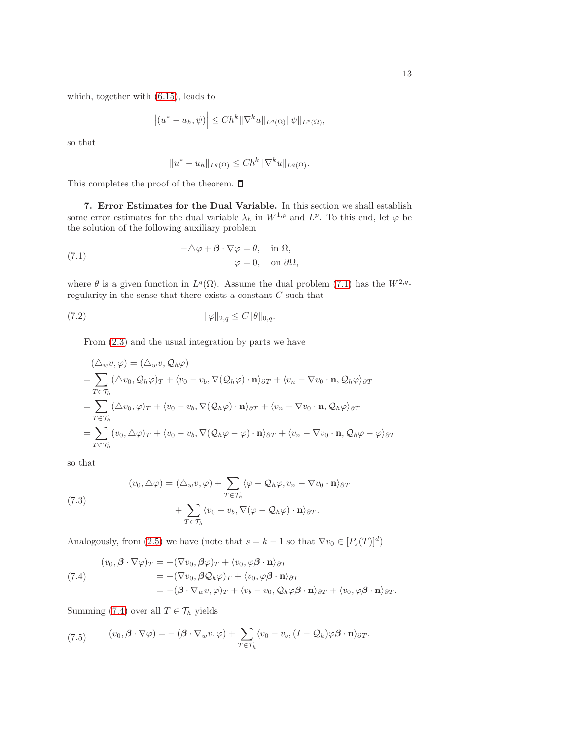which, together with [\(6.15\)](#page-10-3), leads to

$$
|(u^*-u_h,\psi)| \le Ch^k \|\nabla^k u\|_{L^q(\Omega)} \|\psi\|_{L^p(\Omega)},
$$

so that

<span id="page-12-1"></span>
$$
||u^*-u_h||_{L^q(\Omega)} \le Ch^k ||\nabla^k u||_{L^q(\Omega)}.
$$

<span id="page-12-0"></span>This completes the proof of the theorem.  $\Box$ 

7. Error Estimates for the Dual Variable. In this section we shall establish some error estimates for the dual variable  $\lambda_h$  in  $W^{1,p}$  and  $L^p$ . To this end, let  $\varphi$  be the solution of the following auxiliary problem

(7.1) 
$$
-\Delta \varphi + \beta \cdot \nabla \varphi = \theta, \text{ in } \Omega, \varphi = 0, \text{ on } \partial \Omega,
$$

where  $\theta$  is a given function in  $L^q(\Omega)$ . Assume the dual problem [\(7.1\)](#page-12-1) has the  $W^{2,q}$ regularity in the sense that there exists a constant C such that

$$
\|\varphi\|_{2,q} \le C \|\theta\|_{0,q}.
$$

<span id="page-12-3"></span>From [\(2.3\)](#page-2-3) and the usual integration by parts we have

$$
\begin{split}\n(\triangle_{w}v, \varphi) &= (\triangle_{w}v, \mathcal{Q}_{h}\varphi) \\
&= \sum_{T \in \mathcal{T}_{h}} (\triangle v_{0}, \mathcal{Q}_{h}\varphi)_{T} + \langle v_{0} - v_{b}, \nabla(\mathcal{Q}_{h}\varphi) \cdot \mathbf{n} \rangle_{\partial T} + \langle v_{n} - \nabla v_{0} \cdot \mathbf{n}, \mathcal{Q}_{h}\varphi \rangle_{\partial T} \\
&= \sum_{T \in \mathcal{T}_{h}} (\triangle v_{0}, \varphi)_{T} + \langle v_{0} - v_{b}, \nabla(\mathcal{Q}_{h}\varphi) \cdot \mathbf{n} \rangle_{\partial T} + \langle v_{n} - \nabla v_{0} \cdot \mathbf{n}, \mathcal{Q}_{h}\varphi \rangle_{\partial T} \\
&= \sum_{T \in \mathcal{T}_{h}} (v_{0}, \triangle \varphi)_{T} + \langle v_{0} - v_{b}, \nabla(\mathcal{Q}_{h}\varphi - \varphi) \cdot \mathbf{n} \rangle_{\partial T} + \langle v_{n} - \nabla v_{0} \cdot \mathbf{n}, \mathcal{Q}_{h}\varphi - \varphi \rangle_{\partial T}\n\end{split}
$$

so that

<span id="page-12-4"></span>(7.3)  
\n
$$
(v_0, \triangle \varphi) = (\triangle_w v, \varphi) + \sum_{T \in \mathcal{T}_h} \langle \varphi - \mathcal{Q}_h \varphi, v_n - \nabla v_0 \cdot \mathbf{n} \rangle_{\partial T} + \sum_{T \in \mathcal{T}_h} \langle v_0 - v_b, \nabla (\varphi - \mathcal{Q}_h \varphi) \cdot \mathbf{n} \rangle_{\partial T}.
$$

Analogously, from [\(2.5\)](#page-2-4) we have (note that  $s = k - 1$  so that  $\nabla v_0 \in [P_s(T)]^d$ )

<span id="page-12-2"></span>(7.4)  
\n
$$
(v_0, \beta \cdot \nabla \varphi)_T = -(\nabla v_0, \beta \varphi)_T + \langle v_0, \varphi \beta \cdot \mathbf{n} \rangle_{\partial T}
$$
\n
$$
= -(\nabla v_0, \beta \mathcal{Q}_h \varphi)_T + \langle v_0, \varphi \beta \cdot \mathbf{n} \rangle_{\partial T}
$$
\n
$$
= -(\beta \cdot \nabla_w v, \varphi)_T + \langle v_b - v_0, \mathcal{Q}_h \varphi \beta \cdot \mathbf{n} \rangle_{\partial T} + \langle v_0, \varphi \beta \cdot \mathbf{n} \rangle_{\partial T}.
$$

Summing [\(7.4\)](#page-12-2) over all  $T \in \mathcal{T}_h$  yields

<span id="page-12-5"></span>(7.5) 
$$
(v_0, \beta \cdot \nabla \varphi) = -(\beta \cdot \nabla_w v, \varphi) + \sum_{T \in \mathcal{T}_h} \langle v_0 - v_b, (I - \mathcal{Q}_h) \varphi \beta \cdot \mathbf{n} \rangle_{\partial T}.
$$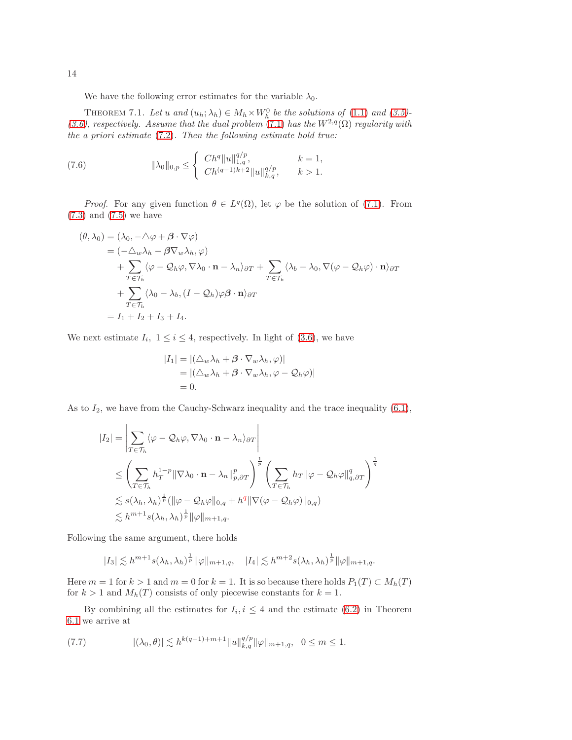<span id="page-13-2"></span>We have the following error estimates for the variable  $\lambda_0$ .

THEOREM 7.1. Let u and  $(u_h; \lambda_h) \in M_h \times W_h^0$  be the solutions of [\(1.1\)](#page-0-0) and [\(3.5\)](#page-3-0)-[\(3.6\)](#page-3-0), respectively. Assume that the dual problem [\(7.1\)](#page-12-1) has the  $W^{2,q}(\Omega)$  regularity with the a priori estimate  $(7.2)$ . Then the following estimate hold true:

<span id="page-13-0"></span>(7.6) 
$$
\|\lambda_0\|_{0,p} \leq \begin{cases} Ch^q \|u\|_{1,q}^{q/p}, & k = 1, \\ Ch^{(q-1)k+2} \|u\|_{k,q}^{q/p}, & k > 1. \end{cases}
$$

*Proof.* For any given function  $\theta \in L^q(\Omega)$ , let  $\varphi$  be the solution of [\(7.1\)](#page-12-1). From [\(7.3\)](#page-12-4) and [\(7.5\)](#page-12-5) we have

$$
(\theta, \lambda_0) = (\lambda_0, -\Delta \varphi + \beta \cdot \nabla \varphi)
$$
  
\n
$$
= (-\Delta_w \lambda_h - \beta \nabla_w \lambda_h, \varphi)
$$
  
\n
$$
+ \sum_{T \in \mathcal{T}_h} (\varphi - \mathcal{Q}_h \varphi, \nabla \lambda_0 \cdot \mathbf{n} - \lambda_n) \partial T + \sum_{T \in \mathcal{T}_h} (\lambda_b - \lambda_0, \nabla (\varphi - \mathcal{Q}_h \varphi) \cdot \mathbf{n}) \partial T
$$
  
\n
$$
+ \sum_{T \in \mathcal{T}_h} (\lambda_0 - \lambda_b, (I - \mathcal{Q}_h) \varphi \beta \cdot \mathbf{n}) \partial T
$$
  
\n
$$
= I_1 + I_2 + I_3 + I_4.
$$

We next estimate  $I_i$ ,  $1 \leq i \leq 4$ , respectively. In light of [\(3.6\)](#page-3-0), we have

$$
|I_1| = |(\triangle_w \lambda_h + \beta \cdot \nabla_w \lambda_h, \varphi)|
$$
  
= |(\triangle\_w \lambda\_h + \beta \cdot \nabla\_w \lambda\_h, \varphi - Q\_h \varphi)|  
= 0.

As to  $I_2$ , we have from the Cauchy-Schwarz inequality and the trace inequality  $(6.1)$ ,

$$
\begin{split} |I_{2}| &= \left| \sum_{T \in \mathcal{T}_{h}} \langle \varphi - \mathcal{Q}_{h} \varphi, \nabla \lambda_{0} \cdot \mathbf{n} - \lambda_{n} \rangle_{\partial T} \right| \\ &\leq \left( \sum_{T \in \mathcal{T}_{h}} h_{T}^{1-p} \|\nabla \lambda_{0} \cdot \mathbf{n} - \lambda_{n}\|_{p,\partial T}^{p} \right)^{\frac{1}{p}} \left( \sum_{T \in \mathcal{T}_{h}} h_{T} \|\varphi - \mathcal{Q}_{h} \varphi\|_{q,\partial T}^{q} \right)^{\frac{1}{q}} \\ &\lesssim s(\lambda_{h}, \lambda_{h})^{\frac{1}{p}} (\|\varphi - \mathcal{Q}_{h} \varphi\|_{0,q} + h^{q} \|\nabla (\varphi - \mathcal{Q}_{h} \varphi)\|_{0,q}) \\ &\lesssim h^{m+1} s(\lambda_{h}, \lambda_{h})^{\frac{1}{p}} \|\varphi\|_{m+1,q}. \end{split}
$$

Following the same argument, there holds

$$
|I_3| \lesssim h^{m+1} s(\lambda_h, \lambda_h)^{\frac{1}{p}} \|\varphi\|_{m+1,q}, \quad |I_4| \lesssim h^{m+2} s(\lambda_h, \lambda_h)^{\frac{1}{p}} \|\varphi\|_{m+1,q}.
$$

Here  $m = 1$  for  $k > 1$  and  $m = 0$  for  $k = 1$ . It is so because there holds  $P_1(T) \subset M_h(T)$ for  $k > 1$  and  $M_h(T)$  consists of only piecewise constants for  $k = 1$ .

By combining all the estimates for  $I_i, i \leq 4$  and the estimate [\(6.2\)](#page-8-5) in Theorem [6.1](#page-8-6) we arrive at

<span id="page-13-1"></span>
$$
(7.7) \t\t |(\lambda_0, \theta)| \lesssim h^{k(q-1)+m+1} \|u\|_{k,q}^{q/p} \|\varphi\|_{m+1,q}, \quad 0 \leq m \leq 1.
$$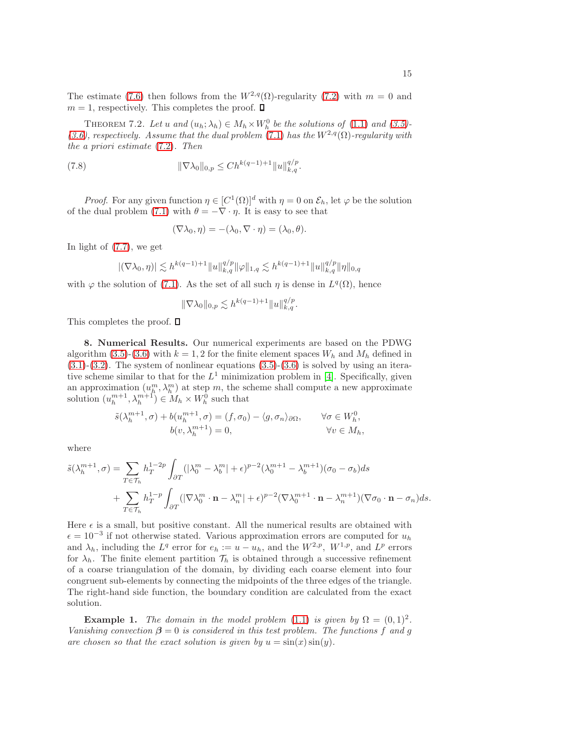<span id="page-14-1"></span>The estimate [\(7.6\)](#page-13-0) then follows from the  $W^{2,q}(\Omega)$ -regularity [\(7.2\)](#page-12-3) with  $m = 0$  and  $m = 1$ , respectively. This completes the proof.  $\Box$ 

THEOREM 7.2. Let u and  $(u_h; \lambda_h) \in M_h \times W_h^0$  be the solutions of [\(1.1\)](#page-0-0) and [\(3.5\)](#page-3-0)-[\(3.6\)](#page-3-0), respectively. Assume that the dual problem [\(7.1\)](#page-12-1) has the  $W^{2,q}(\Omega)$ -regularity with the a priori estimate [\(7.2\)](#page-12-3). Then

(7.8) 
$$
\|\nabla \lambda_0\|_{0,p} \le C h^{k(q-1)+1} \|u\|_{k,q}^{q/p}.
$$

*Proof.* For any given function  $\eta \in [C^1(\Omega)]^d$  with  $\eta = 0$  on  $\mathcal{E}_h$ , let  $\varphi$  be the solution of the dual problem [\(7.1\)](#page-12-1) with  $\theta = -\nabla \cdot \eta$ . It is easy to see that

$$
(\nabla \lambda_0, \eta) = -(\lambda_0, \nabla \cdot \eta) = (\lambda_0, \theta).
$$

In light of [\(7.7\)](#page-13-1), we get

$$
|(\nabla \lambda_0, \eta)| \lesssim h^{k(q-1)+1} \|u\|_{k,q}^{q/p} \|\varphi\|_{1,q} \lesssim h^{k(q-1)+1} \|u\|_{k,q}^{q/p} \|\eta\|_{0,q}
$$

with  $\varphi$  the solution of [\(7.1\)](#page-12-1). As the set of all such  $\eta$  is dense in  $L^q(\Omega)$ , hence

$$
\|\nabla \lambda_0\|_{0,p} \lesssim h^{k(q-1)+1} \|u\|_{k,q}^{q/p}.
$$

<span id="page-14-0"></span>This completes the proof.  $\square$ 

8. Numerical Results. Our numerical experiments are based on the PDWG algorithm [\(3.5\)](#page-3-0)-[\(3.6\)](#page-3-0) with  $k = 1, 2$  for the finite element spaces  $W_h$  and  $M_h$  defined in  $(3.1)-(3.2)$  $(3.1)-(3.2)$  $(3.1)-(3.2)$ . The system of nonlinear equations  $(3.5)-(3.6)$  $(3.5)-(3.6)$  is solved by using an iterative scheme similar to that for the  $L^1$  minimization problem in [\[4\]](#page-20-6). Specifically, given an approximation  $(u_{\mu}^{m}, \lambda_{h}^{m})$  at step m, the scheme shall compute a new approximate solution  $(u_h^{m+1}, \lambda_h^{m+1}) \in M_h \times W_h^0$  such that

$$
\tilde{s}(\lambda_h^{m+1}, \sigma) + b(u_h^{m+1}, \sigma) = (f, \sigma_0) - \langle g, \sigma_n \rangle_{\partial\Omega}, \qquad \forall \sigma \in W_h^0,
$$
  

$$
b(v, \lambda_h^{m+1}) = 0, \qquad \forall v \in M_h,
$$

where

$$
\tilde{s}(\lambda_h^{m+1}, \sigma) = \sum_{T \in \mathcal{T}_h} h_T^{1-2p} \int_{\partial T} (|\lambda_0^m - \lambda_b^m| + \epsilon)^{p-2} (\lambda_0^{m+1} - \lambda_b^{m+1}) (\sigma_0 - \sigma_b) ds + \sum_{T \in \mathcal{T}_h} h_T^{1-p} \int_{\partial T} (|\nabla \lambda_0^m \cdot \mathbf{n} - \lambda_n^m| + \epsilon)^{p-2} (\nabla \lambda_0^{m+1} \cdot \mathbf{n} - \lambda_n^{m+1}) (\nabla \sigma_0 \cdot \mathbf{n} - \sigma_n) ds.
$$

Here  $\epsilon$  is a small, but positive constant. All the numerical results are obtained with  $\epsilon = 10^{-3}$  if not otherwise stated. Various approximation errors are computed for  $u_h$ and  $\lambda_h$ , including the  $L^q$  error for  $e_h := u - u_h$ , and the  $W^{2,p}$ ,  $W^{1,p}$ , and  $L^p$  errors for  $\lambda_h$ . The finite element partition  $\mathcal{T}_h$  is obtained through a successive refinement of a coarse triangulation of the domain, by dividing each coarse element into four congruent sub-elements by connecting the midpoints of the three edges of the triangle. The right-hand side function, the boundary condition are calculated from the exact solution.

<span id="page-14-2"></span>**Example 1.** The domain in the model problem [\(1.1\)](#page-0-0) is given by  $\Omega = (0,1)^2$ . Vanishing convection  $\beta = 0$  is considered in this test problem. The functions f and g are chosen so that the exact solution is given by  $u = sin(x) sin(y)$ .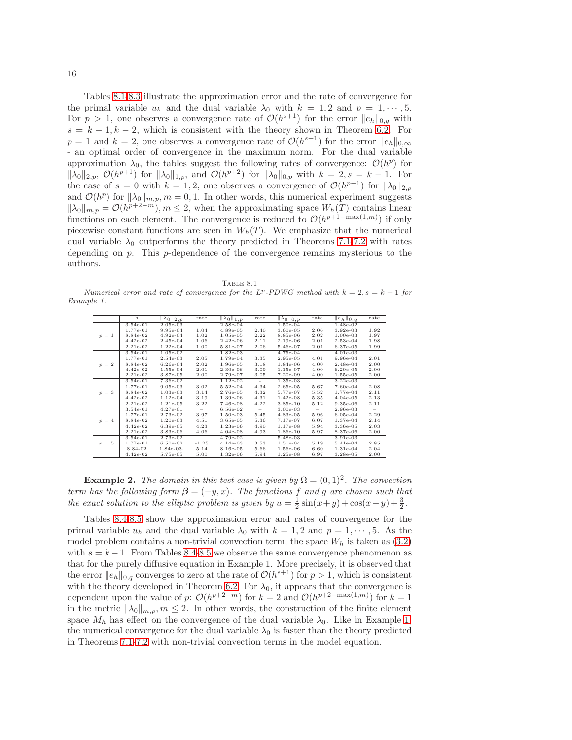Tables [8.1-](#page-15-0)[8.3](#page-16-0) illustrate the approximation error and the rate of convergence for the primal variable  $u_h$  and the dual variable  $\lambda_0$  with  $k = 1, 2$  and  $p = 1, \dots, 5$ . For  $p > 1$ , one observes a convergence rate of  $\mathcal{O}(h^{s+1})$  for the error  $||e_h||_{0,q}$  with  $s = k - 1, k - 2$ , which is consistent with the theory shown in Theorem [6.2.](#page-10-4) For  $p = 1$  and  $k = 2$ , one observes a convergence rate of  $\mathcal{O}(h^{s+1})$  for the error  $||e_h||_{0,\infty}$ - an optimal order of convergence in the maximum norm. For the dual variable approximation  $\lambda_0$ , the tables suggest the following rates of convergence:  $\mathcal{O}(h^p)$  for  $\|\lambda_0\|_{2,p}, \mathcal{O}(h^{p+1})$  for  $\|\lambda_0\|_{1,p}$ , and  $\mathcal{O}(h^{p+2})$  for  $\|\lambda_0\|_{0,p}$  with  $k=2, s=k-1$ . For the case of  $s = 0$  with  $k = 1, 2$ , one observes a convergence of  $\mathcal{O}(h^{p-1})$  for  $\|\lambda_0\|_{2,p}$ and  $\mathcal{O}(h^p)$  for  $\|\lambda_0\|_{m,p}, m = 0, 1$ . In other words, this numerical experiment suggests  $\|\lambda_0\|_{m,p} = \mathcal{O}(h^{p+2-m}), m \leq 2$ , when the approximating space  $W_h(T)$  contains linear functions on each element. The convergence is reduced to  $\mathcal{O}(h^{p+1-\max(1,m)})$  if only piecewise constant functions are seen in  $W_h(T)$ . We emphasize that the numerical dual variable  $\lambda_0$  outperforms the theory predicted in Theorems [7.1-](#page-13-2)[7.2](#page-14-1) with rates depending on  $p$ . This p-dependence of the convergence remains mysterious to the authors.

|--|--|

<span id="page-15-0"></span>Numerical error and rate of convergence for the  $L^p$ -PDWG method with  $k = 2$ ,  $s = k - 1$  for Example 1.

 $T$ 

|         | h          | $\ \lambda_0\ _{2,p}$ | rate                     | $\mathbb{Z}_{0}$ <sub>1,p</sub> | rate                     | $\ \lambda_0\ _{0,p}$ | rate                     | $  e_h  _{0,q}$ | rate                            |
|---------|------------|-----------------------|--------------------------|---------------------------------|--------------------------|-----------------------|--------------------------|-----------------|---------------------------------|
|         | $3.54e-01$ | $2.05e-03$            | $\qquad \qquad -$        | $2.58e-04$                      | $\overline{\phantom{0}}$ | $1.50e-04$            | $\qquad \qquad -$        | 1.48e-02        | $\overline{\phantom{m}}$        |
|         | 1.77e-01   | $9.95e-04$            | 1.04                     | $4.89e-05$                      | 2.40                     | $3.60e-05$            | 2.06                     | $3.92e-03$      | 1.92                            |
| $p = 1$ | 8.84e-02   | $4.92e-04$            | 1.02                     | $1.05e-05$                      | 2.22                     | 8.85e-06              | 2.02                     | $1.00e-03$      | 1.97                            |
|         | $4.42e-02$ | 2.45e-04              | 1.06                     | $2.42e-06$                      | 2.11                     | $2.19e-06$            | 2.01                     | $2.53e-04$      | 1.98                            |
|         | 2.21e-02   | $1.22e-04$            | 1.00                     | 5.81e-07                        | 2.06                     | 5.46e-07              | 2.01                     | 6.37e-05        | 1.99                            |
|         | $3.54e-01$ | $1.05e-02$            | $\overline{\phantom{m}}$ | $1.82e-03$                      | $\overline{\phantom{a}}$ | 4.75e-04              | $\overline{\phantom{a}}$ | $4.01e-03$      | $\hspace{0.1mm}-\hspace{0.1mm}$ |
|         | 1.77e-01   | 2.54e-03              | 2.05                     | 1.79e-04                        | 3.35                     | 2.95e-05              | 4.01                     | 9.96e-04        | 2.01                            |
| $p = 2$ | 8.84e-02   | $6.26e-04$            | 2.02                     | 1.96e-05                        | 3.18                     | 1.84e-06              | 4.00                     | $2.48e-04$      | 2.00                            |
|         | $4.42e-02$ | $1.55e-04$            | 2.01                     | $2.30e-06$                      | 3.09                     | $1.15e-07$            | 4.00                     | $6.20e-0.5$     | 2.00                            |
|         | 2.21e-02   | 3.87e-05              | 2.00                     | 2.79e-07                        | 3.05                     | $7.20e-09$            | 4.00                     | 1.55e-05        | 2.00                            |
|         | 3.54e-01   | 7.36e-02              | $\overline{\phantom{a}}$ | $1.12e-02$                      | $\sim$                   | $1.35e-03$            | $\overline{\phantom{a}}$ | $3.22e-03$      | $\overline{\phantom{a}}$        |
|         | 1.77e-01   | $9.05e-03$            | 3.02                     | $5.52e-04$                      | 4.34                     | $2.65e-05$            | 5.67                     | 7.60e-04        | 2.08                            |
| $p = 3$ | 8.84e-02   | $1.03e-03$            | 3.14                     | 2.76e-05                        | 4.32                     | 5.77e-07              | 5.52                     | 1.77e-04        | 2.11                            |
|         | $4.42e-02$ | $1.12e-04$            | 3.19                     | $1.39e-06$                      | 4.31                     | $1.42e-08$            | 5.35                     | $4.04e-05$      | 2.13                            |
|         | $2.21e-02$ | $1.21e-05$            | 3.22                     | 7.46e-08                        | 4.22                     | $3.85e-10$            | 5.12                     | $9.35e-06$      | 2.11                            |
|         | $3.54e-01$ | $4.27e-01$            | $\overline{\phantom{a}}$ | 6.56e-02                        | $\sim$                   | $3.00e-03$            | $\sim$                   | 2.96e-03        | $\overline{\phantom{a}}$        |
|         | 1.77e-01   | 2.73e-02              | 3.97                     | $1.50e-03$                      | 5.45                     | 4.83e-05              | 5.96                     | $6.05e-04$      | 2.29                            |
| $p = 4$ | 8.84e-02   | $1.20e-03$            | 4.51                     | $3.65e-05$                      | 5.36                     | 7.17e-07              | 6.07                     | 1.37e-04        | 2.14                            |
|         | $4.42e-02$ | $6.39e-05$            | 4.23                     | $1.23e-06$                      | 4.90                     | $1.17e-08$            | 5.94                     | 3.36e-05        | 2.03                            |
|         | $2.21e-02$ | 3.83e-06              | 4.06                     | $4.04e-08$                      | 4.93                     | 1.86e-10              | 5.97                     | 8.37e-06        | 2.00                            |
|         | 3.54e-01   | 2.73e-02              | $\qquad \qquad -$        | 4.79e-02                        | $\overline{\phantom{m}}$ | 5.48e-03              | $\qquad \qquad -$        | $3.91e-03$      | $\overline{\phantom{a}}$        |
| $p = 5$ | 1.77e-01   | $6.50e-02$            | $-1.25$                  | $4.14e-03$                      | 3.53                     | $1.51e-04$            | 5.19                     | 5.41e-04        | 2.85                            |
|         | 8.84-02    | $1.84e-03.$           | 5.14                     | 8.16e-05                        | 5.66                     | 1.56e-06              | 6.60                     | $1.31e-04$      | 2.04                            |
|         | $4.42e-02$ | 5.75e-05              | 5.00                     | $1.32e-06$                      | 5.94                     | $1.25e-08$            | 6.97                     | $3.28e-0.5$     | 2.00                            |

**Example 2.** The domain in this test case is given by  $\Omega = (0,1)^2$ . The convection term has the following form  $\beta = (-y, x)$ . The functions f and g are chosen such that the exact solution to the elliptic problem is given by  $u = \frac{1}{2}\sin(x+y) + \cos(x-y) + \frac{3}{2}$ .

Tables [8.4](#page-17-0)[-8.5](#page-17-1) show the approximation error and rates of convergence for the primal variable  $u_h$  and the dual variable  $\lambda_0$  with  $k = 1, 2$  and  $p = 1, \dots, 5$ . As the model problem contains a non-trivial convection term, the space  $W_h$  is taken as [\(3.2\)](#page-3-3) with  $s = k - 1$ . From Tables [8.4](#page-17-0)[-8.5](#page-17-1) we observe the same convergence phenomenon as that for the purely diffusive equation in Example 1. More precisely, it is observed that the error  $||e_h||_{0,q}$  converges to zero at the rate of  $\mathcal{O}(h^{s+1})$  for  $p > 1$ , which is consistent with the theory developed in Theorem [6.2.](#page-10-4) For  $\lambda_0$ , it appears that the convergence is dependent upon the value of p:  $\mathcal{O}(h^{p+2-m})$  for  $k=2$  and  $\mathcal{O}(h^{p+2-\max(1,m)})$  for  $k=1$ in the metric  $\|\lambda_0\|_{m,p}, m \leq 2$ . In other words, the construction of the finite element space  $M_h$  has effect on the convergence of the dual variable  $\lambda_0$ . Like in Example [1,](#page-14-2) the numerical convergence for the dual variable  $\lambda_0$  is faster than the theory predicted in Theorems [7.1-](#page-13-2)[7.2](#page-14-1) with non-trivial convection terms in the model equation.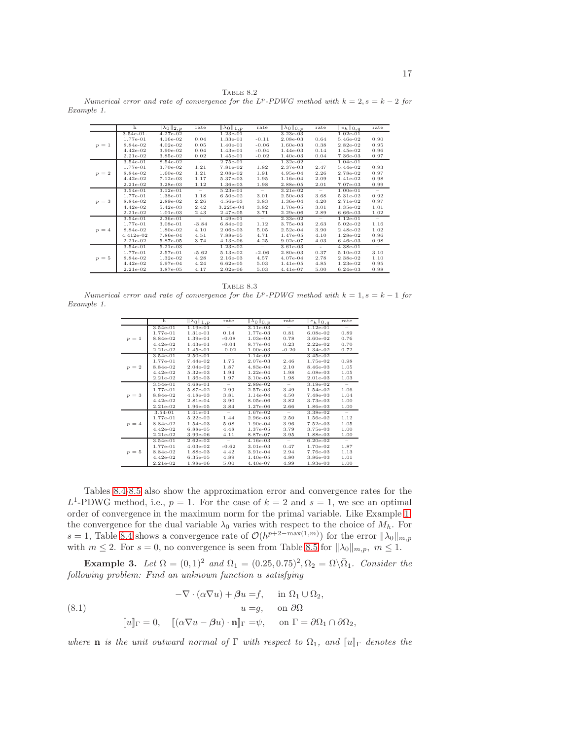TABLE 8.2 Numerical error and rate of convergence for the  $L^p$ -PDWG method with  $k = 2$ ,  $s = k - 2$  for Example 1.

|         | h           | $\ \lambda_0\ _{2,p}$ | rate                            | $\ \lambda_0\ _{1,p}$ | rate                            | $\ \lambda_0\ _{0,p}$ | rate                            | $\ e_h\ _{0,q}$ | rate                     |
|---------|-------------|-----------------------|---------------------------------|-----------------------|---------------------------------|-----------------------|---------------------------------|-----------------|--------------------------|
|         | $3.54e-01.$ | $4.27e-02$            | $\hspace{0.1mm}-\hspace{0.1mm}$ | $1.23e-01$            | $\hspace{0.1mm}-\hspace{0.1mm}$ | $3.23e-03$            | $\overline{\phantom{m}}$        | $1.02e-01$      |                          |
|         | 1.77e-01    | $4.16e-02$            | 0.04                            | $1.33e-01$            | $-0.11$                         | 2.08e-03              | 0.64                            | 5.46e-02        | 0.90                     |
| $p = 1$ | 8.84e-02    | $4.02e-02$            | 0.05                            | $1.40e-01$            | $-0.06$                         | $1.60e-03$            | 0.38                            | 2.82e-02        | 0.95                     |
|         | $4.42e-02$  | 3.90e-02              | 0.04                            | $1.43e-01$            | $-0.04$                         | $1.44e-03$            | 0.14                            | 1.45e-02        | 0.96                     |
|         | $2.21e-02$  | 3.85e-02              | 0.02                            | $1.45e-01$            | $-0.02$                         | $1.40e-03$            | 0.04                            | 7.36e-03        | 0.97                     |
|         | $3.54e-01$  | 8.54e-02              | $\sim$                          | $2.75e-01$            | $\qquad \qquad -$               | $1.32e-02$            | $\sim$                          | $1.04e-01$      | $\sim$                   |
|         | 1.77e-01    | 3.70e-02              | 1.21                            | 7.81e-02              | 1.82                            | 2.37e-03              | 2.47                            | 5.44e-02        | 0.93                     |
| $p = 2$ | 8.84e-02    | 1.60e-02              | 1.21                            | 2.08e-02              | 1.91                            | $4.95e-04$            | 2.26                            | 2.78e-02        | 0.97                     |
|         | $4.42e-02$  | $7.12e-03$            | 1.17                            | 5.37e-03              | 1.95                            | $1.16e-04$            | 2.09                            | 1.41e-02        | 0.98                     |
|         | 2.21e-02    | $3.28e-03$            | 1.12                            | 1.36e-03              | 1.98                            | 2.88e-05              | 2.01                            | 7.07e-03        | 0.99                     |
|         | 3.54e-01    | $3.12e-01$            | $\sim$                          | 5.23e-01              | $\sim$                          | $3.21e-02$            | $\hspace{0.1mm}-\hspace{0.1mm}$ | 1.00e-01        | $\sim$                   |
|         | 1.77e-01    | 1.38e-01              | 1.18                            | $6.50e-02$            | 3.01                            | $2.50e-03$            | 3.68                            | 5.31e-02        | 0.92                     |
| $p = 3$ | 8.84e-02    | 2.89e-02              | 2.26                            | 4.56e-03              | 3.83                            | 1.36e-04              | 4.20                            | 2.71e-02        | 0.97                     |
|         | $4.42e-02$  | $5.42e-03$            | 2.42                            | 3.225e-04             | 3.82                            | 1.70e-05              | 3.01                            | 1.35e-02        | 1.01                     |
|         | $2.21e-02$  | $1.01e-03$            | 2.43                            | 2.47e-05              | 3.71                            | $2.29e-06$            | 2.89                            | $6.66e-03$      | 1.02                     |
|         | $3.54e-01$  | $2.36e-01$            | $\sim$                          | $1.49e-01$            | $\hspace{0.1mm}-\hspace{0.1mm}$ | $2.33e-02$            | $\overline{\phantom{a}}$        | $1.12e-01$      | $\overline{\phantom{a}}$ |
|         | 1.77e-01    | $3.08e-01$            | $-3.84$                         | $6.84e-02$            | 1.12                            | 3.75e-03              | 2.63                            | 5.02e-02        | 1.16                     |
| $p = 4$ | 8.84e-02    | 1.80e-02              | 4.10                            | 2.06e-03              | 5.05                            | $2.52e-04$            | 3.90                            | 2.48e-02        | 1.02                     |
|         | $4.412e-02$ | 7.86e-04              | 4.51                            | 7.88e-05              | 4.71                            | 1.47e-05              | 4.10                            | 1.28e-02        | 0.96                     |
|         | $2.21e-02$  | 5.87e-05              | 3.74                            | $4.13e-06$            | 4.25                            | $9.02e-07$            | 4.03                            | $6.46e-03$      | 0.98                     |
|         | $3.54e-01$  | $5.21e-03$            | $\sim$                          | $1.23e-02$            | $\sim$                          | $3.61e-03$            | $\sim$                          | $4.38e-01$      | $\sim$                   |
|         | 1.77e-01    | 2.57e-01              | $-5.62$                         | 5.13e-02              | $-2.06$                         | 2.80e-03              | 0.37                            | 5.10e-02        | 3.10                     |
| $p = 5$ | 8.84e-02    | $1.32e-02$            | 4.28                            | $2.16e-03$            | 4.57                            | 4.07e-04              | 2.78                            | 2.38e-02        | 1.10                     |
|         | $4.42e-02$  | 6.97e-04              | 4.24                            | $6.62e-0.5$           | 5.03                            | $1.41e-05$            | 4.85                            | $1.23e-02$      | 0.95                     |
|         | $2.21e-02$  | 3.87e-05              | 4.17                            | $2.02e-06$            | 5.03                            | $4.41e-07$            | 5.00                            | $6.24e-03$      | 0.98                     |

TABLE 8.3

<span id="page-16-0"></span>Numerical error and rate of convergence for the  $L^p$ -PDWG method with  $k = 1, s = k - 1$  for Example 1.

|         | h           | $\ \lambda_0\ _{1,p}$ | rate    | $\ \lambda_0\ _{0,p}$ | rate     | $  e_h  _{0,q}$ | rate                     |
|---------|-------------|-----------------------|---------|-----------------------|----------|-----------------|--------------------------|
|         | $3.54e-01$  | $1.19e-01$            | $\sim$  | $3.11e-03$            | $\equiv$ | $1.12e-01$      | $\sim$                   |
|         | 1.77e-01    | $1.31e-01$            | 0.14    | 1.77e-03              | 0.81     | 6.08e-02        | 0.89                     |
| $p = 1$ | 8.84e-02    | $1.39e-01$            | $-0.08$ | $1.03e-03$            | 0.78     | 3.60e-02        | 0.76                     |
|         | $4.42e-02$  | $1.43e-01$            | $-0.04$ | 8.77e-04              | 0.23     | $2.22e-02$      | 0.70                     |
|         | $2.21e-02$  | $1.45e-01$            | $-0.02$ | $1.00e-03$            | $-0.20$  | 1.34e-02        | 0.72                     |
|         | $3.54e-01$  | $2.50e-01$            | $-$     | $1.14e-02$            | $\sim$   | $3.45e-02$      |                          |
|         | 1.77e-01    | 7.44e-02              | 1.75    | $2.07e-03$            | 2.46     | 1.75e-02        | 0.98                     |
| $p = 2$ | 8.84e-02    | $2.04e-02$            | 1.87    | $4.83e-04$            | 2.10     | 8.46e-03        | 1.05                     |
|         | $4.42e-02$  | $5.32e-03$            | 1.94    | $1.22e-04$            | 1.98     | $4.08e-03$      | 1.05                     |
|         | $2.21e-02$  | 1.36e-03              | 1.97    | $3.10e-05$            | 1.98     | $2.01e-03$      | 1.03                     |
|         | $3.54e-01$  | $4.68e-01$            | $\sim$  | 2.89e-02              | $\sim$   | $3.19e-02$      | $\overline{\phantom{a}}$ |
|         | 1.77e-01    | 5.87e-02              | 2.99    | 2.57e-03              | 3.49     | 1.54e-02        | 1.06                     |
| $p = 3$ | 8.84e-02    | $4.18e-03$            | 3.81    | $1.14e-04$            | 4.50     | 7.48e-03        | 1.04                     |
|         | $4.42e-02$  | $2.81e-04$            | 3.90    | 8.05e-06              | 3.82     | 3.73e-03        | 1.00                     |
|         | $2.21e-02$  | 1.96e-05              | 3.84    | $1.27e-06$            | 2.66     | 1.86e-03        | 1.00                     |
|         | $3.54 - 01$ | $1.41e-01$            | $\sim$  | $1.67e-02$            | $\sim$   | 3.38e-02        | $\sim$                   |
|         | 1.77e-01    | $5.22e-02$            | 1.44    | 2.96e-03              | 2.50     | 1.56e-02        | 1.12                     |
| $p = 4$ | 8.84e-02    | $1.54e-03$            | 5.08    | $1.90e-04$            | 3.96     | 7.52e-03        | 1.05                     |
|         | $4.42e-02$  | $6.88e-0.5$           | 4.48    | 1.37e-05              | 3.79     | 3.75e-03        | 1.00                     |
|         | $2.21e-02$  | $3.99e-06$            | 4.11    | 8.87e-07              | 3.95     | 1.88e-03        | 1.00                     |
|         | $3.54e-01$  | $2.62e-02$            | $\sim$  | $4.16e-03$            | $\sim$   | $6.20e-02$      | $\sim$                   |
|         | 1.77e-01    | $4.03e-02$            | $-0.62$ | $3.01e-03$            | 0.47     | 1.70e-02        | 1.87                     |
| $p = 5$ | 8.84e-02    | 1.88e-03              | 4.42    | $3.91e-04$            | 2.94     | 7.76e-03        | 1.13                     |
|         | $4.42e-02$  | $6.35e-0.5$           | 4.89    | $1.40e-05$            | 4.80     | 3.86e-03        | 1.01                     |
|         | $2.21e-02$  | $1.98e-06$            | 5.00    | $4.40e-07$            | 4.99     | $1.93e-03$      | 1.00                     |

Tables [8.4-](#page-17-0)[8.5](#page-17-1) also show the approximation error and convergence rates for the  $L^1$ -PDWG method, i.e.,  $p = 1$ . For the case of  $k = 2$  and  $s = 1$ , we see an optimal order of convergence in the maximum norm for the primal variable. Like Example [1,](#page-14-2) the convergence for the dual variable  $\lambda_0$  varies with respect to the choice of  $M_h$ . For s = 1, Table [8.4](#page-17-0) shows a convergence rate of  $\mathcal{O}(h^{p+2-\max(1,m)})$  for the error  $\|\lambda_0\|_{m,p}$ with  $m \le 2$ . For  $s = 0$ , no convergence is seen from Table [8.5](#page-17-1) for  $\|\lambda_0\|_{m,p}$ ,  $m \le 1$ .

<span id="page-16-2"></span>Example 3. Let  $\Omega = (0,1)^2$  and  $\Omega_1 = (0.25, 0.75)^2, \Omega_2 = \Omega \setminus \overline{\Omega}_1$ . Consider the following problem: Find an unknown function u satisfying

<span id="page-16-1"></span>(8.1) 
$$
-\nabla \cdot (\alpha \nabla u) + \beta u = f, \quad \text{in } \Omega_1 \cup \Omega_2,
$$

$$
u = g, \quad \text{on } \partial \Omega
$$

$$
[\![u]\!]_{\Gamma} = 0, \quad [[(\alpha \nabla u - \beta u) \cdot \mathbf{n}]\!]_{\Gamma} = \psi, \quad \text{on } \Gamma = \partial \Omega_1 \cap \partial \Omega_2,
$$

where **n** is the unit outward normal of  $\Gamma$  with respect to  $\Omega_1$ , and  $\llbracket u \rrbracket_{\Gamma}$  denotes the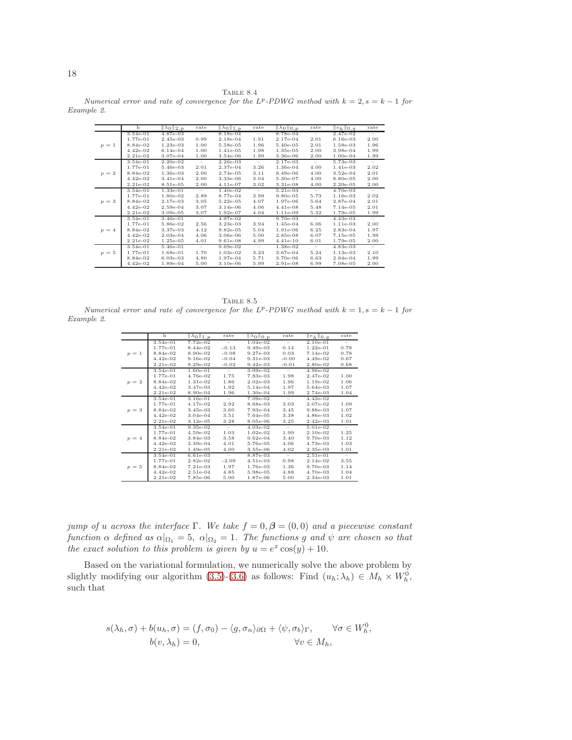TABLE  $8.4\,$ 

<span id="page-17-0"></span>Numerical error and rate of convergence for the  $L^p$ -PDWG method with  $k = 2$ ,  $s = k - 1$  for Example 2.

|         | h          | $\ \lambda_0\ _{2,p}$ | rate                     | $\ \lambda_0\ _{1,n}$ | rate                            | $\ \lambda_0\ _{0,n}$ | rate                              | $\ e_h\ _{0,q}$ | rate                            |
|---------|------------|-----------------------|--------------------------|-----------------------|---------------------------------|-----------------------|-----------------------------------|-----------------|---------------------------------|
|         | $3.54e-01$ | $4.87e-03$            | -                        | $8.18e-04$            | $\qquad \qquad -$               | 8.78e-04              | -                                 | 2.47e-02        |                                 |
|         | 1.77e-01   | 2.45e-03              | 0.99                     | 2.18e-04              | 1.91                            | 2.17e-04              | 2.01                              | $6.16e-03$      | 2.00                            |
| $p = 1$ | 8.84e-02   | $1.23e-03$            | 1.00                     | 5.58e-05              | 1.96                            | 5.40e-05              | 2.01                              | 1.58e-03        | 1.96                            |
|         | $4.42e-02$ | $6.14e-04$            | 1.00                     | 1.41e-05              | 1.98                            | $1.35e-05$            | 2.00                              | 3.98e-04        | 1.99                            |
|         | $2.21e-02$ | $3.07e-04$            | 1.00                     | 3.54e-06              | 1.99                            | 3.36e-06              | 2.00                              | $1.00e-04$      | 1.99                            |
|         | $3.54e-01$ | $2.20e-02$            | $\overline{\phantom{a}}$ | $2.26e-03$            | $\hspace{0.1mm}-\hspace{0.1mm}$ | $2.17e-03$            | $\hspace{0.1in} - \hspace{0.1in}$ | 5.73e-03        | $\overline{\phantom{a}}$        |
|         | 1.77e-01   | 5.46e-03              | 2.01                     | 2.37e-04              | 3.26                            | 1.36e-04              | 4.00                              | 1.41e-03        | 2.02                            |
| $p = 2$ | 8.84e-02   | 1.36e-03              | 2.00                     | 2.74e-05              | 3.11                            | 8.49e-06              | 4.00                              | $3.52e-04$      | 2.01                            |
|         | $4.42e-02$ | $3.41e-04$            | 2.00                     | $3.33e-06$            | 3.04                            | 5.30e-07              | 4.00                              | 8.80e-05        | 2.00                            |
|         | 2.21e-02   | 8.51e-05              | 2.00                     | $4.11e-07$            | 3.02                            | 3.31e-08              | 4.00                              | $2.20e-0.5$     | 2.00                            |
|         | 3.54e-01   | $1.33e-01$            | $\overline{\phantom{a}}$ | $1.40e-02$            | $\overline{\phantom{a}}$        | 5.21e-03              | $\overline{\phantom{a}}$          | 4.70e-03        | $\overline{\phantom{a}}$        |
|         | 1.77e-01   | 1.80e-02              | 2.89                     | 8.77e-04              | 3.99                            | $9.80e-0.5$           | 5.73                              | 1.16e-03        | 2.02                            |
| $p = 3$ | 8.84e-02   | 2.17e-03              | 3.05                     | $5.22e-05$            | 4.07                            | 1.97e-06              | 5.64                              | 2.87e-04        | 2.01                            |
|         | $4.42e-02$ | $2.59e-04$            | 3.07                     | $3.14e-06$            | 4.06                            | 4.41e-08              | 5.48                              | 7.14e-05        | 2.01                            |
|         | 2.21e-02   | $3.09e-05$            | 3.07                     | 1.92e-07              | 4.04                            | 1.11e-09              | 5.32                              | 1.79e-05        | 1.99                            |
|         | 3.54e-01   | 3.46e-01              | $\overline{\phantom{a}}$ | 4.97e-02              | $\hspace{0.1mm}-\hspace{0.1mm}$ | $9.70e-03$            | $\hspace{0.1mm}-\hspace{0.1mm}$   | $4.43e-03$      | $\hspace{0.1mm}-\hspace{0.1mm}$ |
|         | 1.77e-01   | 5.86e-02              | 2.56                     | 3.23e-03              | 3.94                            | $1.45e-04$            | 6.06                              | 1.11e-03        | 2.00                            |
| $p = 4$ | 8.84e-02   | 3.37e-03              | 4.12                     | $9.82e-05$            | 5.04                            | 1.91e-06              | 6.25                              | 2.83e-04        | 1.97                            |
|         | $4.42e-02$ | $2.03e-04$            | 4.06                     | $3.06e-06$            | 5.00                            | 2.85e-08              | 6.07                              | 7.15e-05        | 1.99                            |
|         | 2.21e-02   | $1.25e-05$            | 4.01                     | $9.61e-08$            | 4.99                            | $4.41e-10$            | 6.01                              | 1.79e-05        | 2.00                            |
|         | $3.54e-01$ | $5.46e-01$            | $\overline{\phantom{a}}$ | $9.69e-02$            | $\overline{\phantom{m}}$        | $1.38e-02$            | $\hspace{0.1mm}-\hspace{0.1mm}$   | $4.83e-03$      | $\overline{\phantom{m}}$        |
| $p=5$   | 1.77e-01   | 1.68e-01              | 1.70                     | $1.03e-02$            | 3.23                            | 3.67e-04              | 5.24                              | $1.13e-03$      | 2.10                            |
|         | 8.84e-02   | $6.03e-03$            | 4.80                     | 1.97e-04              | 5.71                            | 3.70e-06              | 6.63                              | 2.84e-04        | 1.99                            |
|         | $4.42e-02$ | 1.89e-04              | 5.00                     | $3.10e-06$            | 5.99                            | 2.91e-08              | 6.99                              | 7.08e-05        | 2.00                            |

<span id="page-17-1"></span>TABLE 8.5 Numerical error and rate of convergence for the  $L^p$ -PDWG method with  $k = 1, s = k - 1$  for Example 2.

|         | h          | $\ \lambda_0\ _{1,p}$ | rate                     | $\ \lambda_0\ _{0,p}$ | rate                     | $  e_h  _{0,q}$ | rate                     |
|---------|------------|-----------------------|--------------------------|-----------------------|--------------------------|-----------------|--------------------------|
|         | $3.54e-01$ | 7.72e-02              | Ξ                        | $1.04e-02$            | Ξ                        | $2.10e-01$      | $\overline{\phantom{a}}$ |
|         | 1.77e-01   | 8.44e-02              | $-0.13$                  | $9.49e-03$            | 0.14                     | $1.22e-01$      | 0.78                     |
| $p = 1$ | 8.84e-02   | 8.90e-02              | $-0.08$                  | $9.27e-03$            | 0.03                     | 7.14e-02        | 0.78                     |
|         | $4.42e-02$ | $9.16e-02$            | $-0.04$                  | 9.31e-03              | $-0.00$                  | 4.49e-02        | 0.67                     |
|         | $2.21e-02$ | $9.29e-02$            | $-0.02$                  | $9.42e-03$            | $-0.01$                  | 2.80e-02        | 0.68                     |
|         | 3.54e-01   | $1.60e-01$            | $\overline{\phantom{a}}$ | $3.09e-02$            | $\hspace{0.1mm}$         | 4.96e-02        |                          |
|         | 1.77e-01   | $4.76e-02$            | 1.75                     | 7.83e-03              | 1.98                     | 2.47e-02        | 1.00                     |
| $p = 2$ | 8.84e-02   | 1.31e-02              | 1.86                     | $2.02e-03$            | 1.96                     | $1.19e-02$      | 1.06                     |
|         | $4.42e-02$ | 3.47e-03              | 1.92                     | 5.14e-04              | 1.97                     | 5.64e-03        | 1.07                     |
|         | $2.21e-02$ | 8.90e-04              | 1.96                     | 1.30e-04              | 1.99                     | 2.74e-03        | 1.04                     |
|         | $3.54e-01$ | $3.16e-01$            | $\overline{\phantom{0}}$ | 7.09e-02              | $\overline{\phantom{a}}$ | $4.43e-02$      |                          |
|         | 1.77e-01   | $4.17e-02$            | 2.92                     | 8.68e-03              | 3.03                     | 2.07e-02        | 1.09                     |
| $p = 3$ | 8.84e-02   | 3.45e-03              | 3.60                     | 7.93e-04              | 3.45                     | 9.88e-03        | 1.07                     |
|         | $4.42e-02$ | $3.04e-04$            | 3.51                     | 7.64e-05              | 3.38                     | 4.86e-03        | 1.02                     |
|         | $2.21e-02$ | $3.12e-0.5$           | 3.28                     | 8.05e-06              | 3.25                     | $2.42e-03$      | 1.01                     |
|         | 3.54e-01   | $9.35e-02$            | $\hspace{0.1mm}$         | $4.03e-02$            | $\overline{\phantom{a}}$ | $5.01e-02$      | $-$                      |
|         | 1.77e-01   | 4.59e-02              | 1.03                     | $1.02e-02$            | 1.99                     | $2.10e-02$      | 1.25                     |
| $p = 4$ | 8.84e-02   | $3.84e-03$            | 3.58                     | $9.62e-04$            | 3.40                     | 9.70e-03        | 1.12                     |
|         | $4.42e-02$ | $2.39e-04$            | 4.01                     | 5.76e-05              | 4.06                     | $4.73e-03$      | 1.03                     |
|         | $2.21e-02$ | $1.49e-05$            | 4.00                     | 3.55e-06              | 4.02                     | 2.35e-03        | 1.01                     |
|         | $3.54e-01$ | $6.61e-03$            | $\hspace{0.1mm}$         | 8.87e-03              | $\overline{\phantom{a}}$ | $2.51e-01$      | $\overline{\phantom{a}}$ |
|         | $1.77e-01$ | $2.82e-02$            | $-2.09$                  | $4.51e-03$            | 0.98                     | $2.14e-02$      | 3.55                     |
| $p = 5$ | 8.84e-02   | 7.21e-03              | 1.97                     | 1.76e-03              | 1.36                     | 9.70e-03        | 1.14                     |
|         | $4.42e-02$ | $2.51e-04$            | 4.85                     | 5.98e-05              | 4.88                     | $4.70e-03$      | 1.04                     |
|         | $2.21e-02$ | 7.85e-06              | 5.00                     | 1.87e-06              | 5.00                     | $2.34e-03$      | 1.01                     |
|         |            |                       |                          |                       |                          |                 |                          |

jump of u across the interface Γ. We take  $f = 0, \beta = (0, 0)$  and a piecewise constant function  $\alpha$  defined as  $\alpha|_{\Omega_1} = 5$ ,  $\alpha|_{\Omega_2} = 1$ . The functions g and  $\psi$  are chosen so that the exact solution to this problem is given by  $u = e^x \cos(y) + 10$ .

Based on the variational formulation, we numerically solve the above problem by slightly modifying our algorithm [\(3.5\)](#page-3-0)-[\(3.6\)](#page-3-0) as follows: Find  $(u_h; \lambda_h) \in M_h \times W_h^0$ , such that

$$
s(\lambda_h, \sigma) + b(u_h, \sigma) = (f, \sigma_0) - \langle g, \sigma_n \rangle_{\partial \Omega} + \langle \psi, \sigma_b \rangle_{\Gamma}, \qquad \forall \sigma \in W_h^0,
$$
  

$$
b(v, \lambda_h) = 0, \qquad \forall v \in M_h,
$$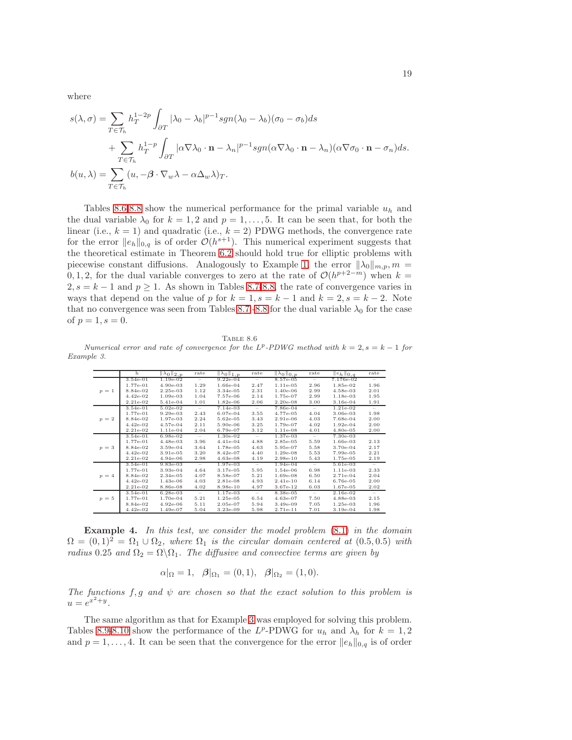where

$$
s(\lambda, \sigma) = \sum_{T \in \mathcal{T}_h} h_T^{1-2p} \int_{\partial T} |\lambda_0 - \lambda_b|^{p-1} sgn(\lambda_0 - \lambda_b) (\sigma_0 - \sigma_b) ds
$$
  
+ 
$$
\sum_{T \in \mathcal{T}_h} h_T^{1-p} \int_{\partial T} |\alpha \nabla \lambda_0 \cdot \mathbf{n} - \lambda_n|^{p-1} sgn(\alpha \nabla \lambda_0 \cdot \mathbf{n} - \lambda_n) (\alpha \nabla \sigma_0 \cdot \mathbf{n} - \sigma_n) ds.
$$
  

$$
b(u, \lambda) = \sum_{T \in \mathcal{T}_h} (u, -\beta \cdot \nabla_w \lambda - \alpha \Delta_w \lambda)_T.
$$

Tables [8.6](#page-18-0)[-8.8](#page-19-0) show the numerical performance for the primal variable  $u_h$  and the dual variable  $\lambda_0$  for  $k = 1, 2$  and  $p = 1, \ldots, 5$ . It can be seen that, for both the linear (i.e.,  $k = 1$ ) and quadratic (i.e.,  $k = 2$ ) PDWG methods, the convergence rate for the error  $||e_h||_{0,q}$  is of order  $\mathcal{O}(h^{s+1})$ . This numerical experiment suggests that the theoretical estimate in Theorem [6.2](#page-10-4) should hold true for elliptic problems with piecewise constant diffusions. Analogously to Example [1,](#page-14-2) the error  $\|\lambda_0\|_{m,p}$ ,  $m =$ 0, 1, 2, for the dual variable converges to zero at the rate of  $\mathcal{O}(h^{p+2-m})$  when  $k =$  $2, s = k - 1$  and  $p \ge 1$ . As shown in Tables [8.7-](#page-19-1)[8.8,](#page-19-0) the rate of convergence varies in ways that depend on the value of p for  $k = 1, s = k - 1$  and  $k = 2, s = k - 2$ . Note that no convergence was seen from Tables [8.7](#page-19-1) [-8.8](#page-19-0) for the dual variable  $\lambda_0$  for the case of  $p = 1, s = 0$ .

TABLE 8.6

<span id="page-18-0"></span>Numerical error and rate of convergence for the  $L^p$ -PDWG method with  $k = 2$ ,  $s = k - 1$  for Example 3.

|         | h          | $\ \lambda_0\ _{2,p}$ | rate                     | $\ \lambda_0\ _{1,p}$ | rate                     | $\ \lambda_0\ _{0,p}$ | rate                     | $  e_h  _{0,q}$ | rate                              |
|---------|------------|-----------------------|--------------------------|-----------------------|--------------------------|-----------------------|--------------------------|-----------------|-----------------------------------|
|         | $3.54e-01$ | $1.19e-02$            | $\overline{\phantom{m}}$ | $9.22e-04$            | $\qquad \qquad -$        | $8.57e-0.5$           | $\qquad \qquad =$        | 7.176e-02       |                                   |
|         | 1.77e-01   | $4.90e-03$            | 1.29                     | $1.66e-04$            | 2.47                     | $1.11e-05$            | 2.96                     | 1.85e-02        | 1.96                              |
| $p = 1$ | 8.84e-02   | $2.25e-03$            | 1.12                     | 3.34e-05              | 2.31                     | $1.40e-06$            | 2.99                     | 4.58e-03        | 2.01                              |
|         | $4.42e-02$ | $1.09e-03$            | 1.04                     | 7.57e-06              | 2.14                     | 1.75e-07              | 2.99                     | 1.18e-03        | 1.95                              |
|         | 2.21e-02   | 5.41e-04              | 1.01                     | $1.82e-06$            | 2.06                     | $2.20e-0.8$           | 3.00                     | 3.16e-04        | 1.91                              |
|         | 3.54e-01   | $5.02e-02$            | $\overline{\phantom{a}}$ | $7.14e-03$            | $\overline{\phantom{a}}$ | 7.86e-04              | $\overline{\phantom{a}}$ | $1.21e-02$      | $\hspace{0.1in} - \hspace{0.1in}$ |
|         | 1.77e-01   | $9.29e-03$            | 2.43                     | $6.07e-04$            | 3.55                     | 4.77e-05              | 4.04                     | 3.06e-03        | 1.98                              |
| $p = 2$ | 8.84e-02   | 1.97e-03              | 2.24                     | 5.62e-05              | 3.43                     | 2.91e-06              | 4.03                     | 7.68e-04        | 2.00                              |
|         | $4.42e-02$ | 4.57e-04              | 2.11                     | 5.90e-06              | 3.25                     | 1.79e-07              | 4.02                     | $1.92e-04$      | 2.00                              |
|         | 2.21e-02   | $1.11e-04$            | 2.04                     | 6.79e-07              | 3.12                     | $1.11e-08$            | 4.01                     | 4.80e-05        | 2.00                              |
|         | $3.54e-01$ | $6.98e-02$            | $\overline{\phantom{a}}$ | 1.30e-02              | $\overline{\phantom{a}}$ | $1.37e-03$            | $\overline{\phantom{a}}$ | 7.30e-03        |                                   |
|         | 1.77e-01   | $4.48e-03$            | 3.96                     | $4.41e-04$            | 4.88                     | 2.85e-05              | 5.59                     | 1.66e-03        | 2.13                              |
| $p = 3$ | 8.84e-02   | $3.59e-04$            | 3.64                     | 1.78e-05              | 4.63                     | 5.95e-07              | 5.58                     | 3.70e-04        | 2.17                              |
|         | $4.42e-02$ | $3.91e-05$            | 3.20                     | 8.42e-07              | 4.40                     | $1.29e-08$            | 5.53                     | 7.99e-05        | 2.21                              |
|         | 2.21e-02   | $4.94e-06$            | 2.98                     | 4.63e-08              | 4.19                     | $2.98e-10$            | 5.43                     | 1.75e-05        | 2.19                              |
|         | 3.54e-01   | $9.83e-03$            | $\sim$                   | $1.97e-03$            | $\sim$                   | $1.94e-04$            | $\sim$                   | $5.61e-03$      | $\overline{\phantom{0}}$          |
|         | 1.77e-01   | $3.93e-04$            | 4.64                     | $3.17e-0.5$           | 5.95                     | $1.54e-06$            | 6.98                     | $1.11e-03$      | 2.33                              |
| $p = 4$ | 8.84e-02   | $2.34e-05$            | 4.07                     | 8.58e-07              | 5.21                     | 1.69e-08              | 6.50                     | 2.71e-04        | 2.04                              |
|         | $4.42e-02$ | $1.43e-06$            | 4.03                     | 2.81e-08              | 4.93                     | $2.41e-10$            | 6.14                     | 6.76e-05        | 2.00                              |
|         | 2.21e-02   | 8.86e-08              | 4.02                     | 8.98e-10              | 4.97                     | 3.67e-12              | 6.03                     | 1.67e-05        | 2.02                              |
|         | $3.54e-01$ | $6.28e-03$            | $\qquad \qquad -$        | $1.17e-03$            | $\sim$                   | 8.38e-05              | $\overline{\phantom{m}}$ | $2.16e-02$      | -                                 |
| $p=5$   | 1.77e-01   | $1.70e-04$            | 5.21                     | $1.25e-05$            | 6.54                     | $4.63e-07$            | 7.50                     | 4.88e-03        | 2.15                              |
|         | 8.84e-02   | $4.92e-06$            | 5.11                     | 2.05e-07              | 5.94                     | $3.49e-09$            | 7.05                     | $1.25e-03$      | 1.96                              |
|         | $4.42e-02$ | $1.49e-07$            | 5.04                     | $3.23e-09$            | 5.98                     | 2.71e-11              | 7.01                     | $3.19e-04$      | 1.98                              |

**Example 4.** In this test, we consider the model problem  $(8.1)$  in the domain  $\Omega = (0, 1)^2 = \Omega_1 \cup \Omega_2$ , where  $\Omega_1$  is the circular domain centered at  $(0.5, 0.5)$  with radius 0.25 and  $\Omega_2 = \Omega \backslash \Omega_1$ . The diffusive and convective terms are given by

$$
\alpha|_{\Omega} = 1, \ \ \beta|_{\Omega_1} = (0,1), \ \ \beta|_{\Omega_2} = (1,0).
$$

The functions f, g and  $\psi$  are chosen so that the exact solution to this problem is  $u=e^{x^2+y}.$ 

The same algorithm as that for Example [3](#page-16-2) was employed for solving this problem. Tables [8.9-](#page-20-7)[8.10](#page-20-8) show the performance of the L<sup>p</sup>-PDWG for  $u_h$  and  $\lambda_h$  for  $k = 1, 2$ and  $p = 1, \ldots, 4$ . It can be seen that the convergence for the error  $||e_h||_{0,q}$  is of order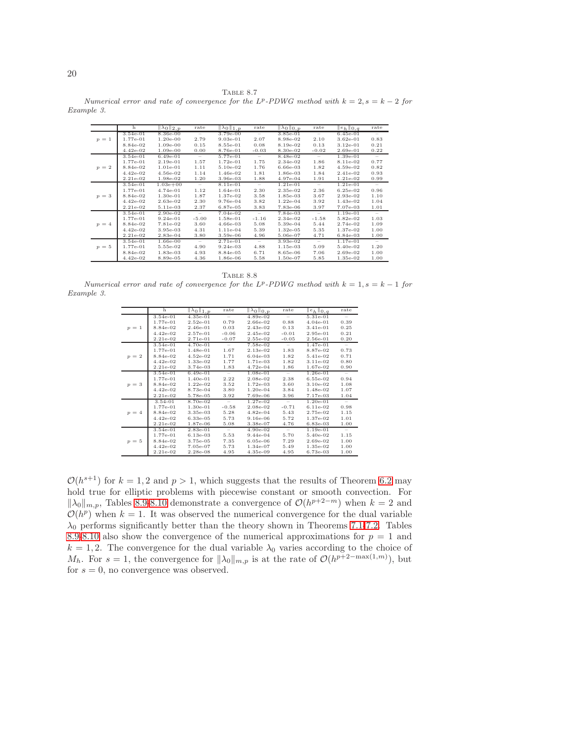TABLE 8.7

<span id="page-19-1"></span>Numerical error and rate of convergence for the  $L^p$ -PDWG method with  $k = 2$ ,  $s = k - 2$  for Example 3.

|         | h          | $\ \lambda_0\ _{2,p}$ | rate                            | $\ \lambda_0\ _{1,p}$ | rate                     | $\ \lambda_0\ _{0,p}$ | rate                     | $  e_h  _{0,q}$ | rate                     |
|---------|------------|-----------------------|---------------------------------|-----------------------|--------------------------|-----------------------|--------------------------|-----------------|--------------------------|
|         | $3.54e-01$ | 8.36e-00              | $\overline{\phantom{m}}$        | 3.79e-00              | $\overline{\phantom{a}}$ | 3.85e-01              | $\qquad \qquad -$        | $6.45e-01$      | $\qquad \qquad -$        |
| $p = 1$ | 1.77e-01   | $1.20e-00$            | 2.79                            | $9.03e-01$            | 2.07                     | 8.98e-02              | 2.10                     | $3.62e-01$      | 0.83                     |
|         | 8.84e-02   | 1.09e-00              | 0.15                            | 8.55e-01              | 0.08                     | 8.19e-02              | 0.13                     | $3.12e-01$      | 0.21                     |
|         | $4.42e-02$ | 1.09e-00              | 0.00                            | 8.76e-01              | $-0.03$                  | 8.30e-02              | $-0.02$                  | $2.69e-01$      | 0.22                     |
|         | $3.54e-01$ | $6.49e-01$            | $\overline{\phantom{m}}$        | 5.77e-01              | $\overline{\phantom{m}}$ | 8.48e-02              | $\qquad \qquad -$        | $1.39e-01$      | $\overline{\phantom{0}}$ |
|         | 1.77e-01   | $2.19e-01$            | 1.57                            | $1.72e-01$            | 1.75                     | $2.34e-02$            | 1.86                     | 8.11e-02        | 0.77                     |
| $p = 2$ | 8.84e-02   | $1.01e-01$            | 1.11                            | 5.10e-02              | 1.76                     | $6.66e-03$            | 1.82                     | $4.59e-02$      | 0.82                     |
|         | $4.42e-02$ | 4.56e-02              | 1.14                            | 1.46e-02              | 1.81                     | 1.86e-03              | 1.84                     | $2.41e-02$      | 0.93                     |
|         | $2.21e-02$ | 1.98e-02              | 1.20                            | 3.96e-03              | 1.88                     | 4.97e-04              | 1.91                     | 1.21e-02        | 0.99                     |
|         | 3.54e-01   | $1.03e + 00$          | $\hspace{0.1mm}-\hspace{0.1mm}$ | 8.11e-01              | $\sim$                   | $1.21e-01$            | $\overline{\phantom{a}}$ | $1.21e-01$      | $\overline{\phantom{m}}$ |
|         | 1.77e-01   | 4.74e-01              | 1.12                            | 1.64e-01              | 2.30                     | 2.35e-02              | 2.36                     | $6.25e-02$      | 0.96                     |
| $p = 3$ | 8.84e-02   | $1.30e-01$            | 1.87                            | 1.37e-02              | 3.58                     | 1.85e-03              | 3.67                     | 2.93e-02        | 1.10                     |
|         | $4.42e-02$ | 2.63e-02              | 2.30                            | 9.76e-04              | 3.82                     | $1.22e-04$            | 3.92                     | 1.43e-02        | 1.04                     |
|         | $2.21e-02$ | 5.11e-03              | 2.37                            | 6.87e-05              | 3.83                     | 7.83e-06              | 3.97                     | 7.07e-03        | 1.01                     |
|         | 3.54e-01   | 2.90e-02              | $\overline{\phantom{m}}$        | $7.04e-02$            | $\overline{\phantom{m}}$ | 7.84e-03              | $\overline{\phantom{m}}$ | $1.19e-01$      | $\overline{\phantom{a}}$ |
|         | 1.77e-01   | $9.24e-01$            | $-5.00$                         | 1.58e-01              | $-1.16$                  | $2.34e-02$            | $-1.58$                  | 5.82e-02        | 1.03                     |
| $p = 4$ | 8.84e-02   | 7.81e-02              | 3.60                            | 4.66e-03              | 5.08                     | 5.39e-04              | 5.44                     | 2.74e-02        | 1.09                     |
|         | $4.42e-02$ | 3.95e-03              | 4.31                            | $1.11e-04$            | 5.39                     | $1.32e-05$            | 5.35                     | 1.37e-02        | 1.00                     |
|         | $2.21e-02$ | 2.83e-04              | 3.80                            | 3.59e-06              | 4.96                     | 5.06e-07              | 4.71                     | 6.84e-03        | 1.00                     |
|         | $3.54e-01$ | 1.66e-00              | $\qquad \qquad -$               | $2.71e-01$            | $\overline{\phantom{m}}$ | $3.93e-02$            | $\overline{\phantom{a}}$ | $1.17e-01$      | $\overline{\phantom{a}}$ |
| $p=5$   | 1.77e-01   | 5.55e-02              | 4.90                            | $9.24e-03$            | 4.88                     | $1.15e-03$            | 5.09                     | 5.40e-02        | 1.20                     |
|         | 8.84e-02   | 1.83e-03              | 4.93                            | 8.84e-05              | 6.71                     | 8.65e-06              | 7.06                     | 2.69e-02        | 1.00                     |
|         | $4.42e-02$ | 8.89e-05              | 4.36                            | 1.86e-06              | 5.58                     | 1.50e-07              | 5.85                     | 1.35e-02        | 1.00                     |

<span id="page-19-0"></span>TABLE 8.8 Numerical error and rate of convergence for the  $L^p$ -PDWG method with  $k = 1, s = k - 1$  for Example 3.

|         | h           | $\mathbb{Z}_{0}$   1, p | rate                     | $\overline{\ \lambda_0\ }_{0,p}$ | rate             | $  e_h  _{0,q}$ | rate   |
|---------|-------------|-------------------------|--------------------------|----------------------------------|------------------|-----------------|--------|
|         | $3.54e-01$  | $4.35e-01$              | Ξ.                       | $4.89e-02$                       | Ξ                | $5.31e-01$      | Ξ      |
|         | 1.77e-01    | $2.52e-01$              | 0.79                     | 2.66e-02                         | 0.88             | $4.04e-01$      | 0.39   |
| $p = 1$ | 8.84e-02    | $2.46e-01$              | 0.03                     | $2.43e-02$                       | 0.13             | $3.41e-01$      | 0.25   |
|         | $4.42e-02$  | $2.57e-01$              | $-0.06$                  | 2.45e-02                         | $-0.01$          | 2.95e-01        | 0.21   |
|         | $2.21e-02$  | $2.71e-01$              | $-0.07$                  | $2.55e-02$                       | $-0.05$          | 2.56e-01        | 0.20   |
|         | 3.54e-01    | $4.70e-01$              | $-$                      | 7.58e-02                         | $\sim$           | $1.47e-01$      | $\sim$ |
|         | 1.77e-01    | $1.48e-01$              | 1.67                     | $2.13e-02$                       | 1.83             | 8.87e-02        | 0.73   |
| $p = 2$ | 8.84e-02    | $4.52e-02$              | 1.71                     | $6.04e-03$                       | 1.82             | 5.41e-02        | 0.71   |
|         | $4.42e-02$  | 1.33e-02                | 1.77                     | 1.71e-03                         | 1.82             | $3.11e-02$      | 0.80   |
|         | $2.21e-02$  | 3.74e-03                | 1.83                     | $4.72e-04$                       | 1.86             | 1.67e-02        | 0.90   |
|         | $3.54e-01$  | $6.49e-01$              | $\sim$                   | $1.08e-01$                       | $\sim$           | $1.26e-01$      | $\sim$ |
|         | 1.77e-01    | $1.40e-01$              | 2.22                     | $2.08e-02$                       | 2.38             | $6.55e-02$      | 0.94   |
| $p = 3$ | 8.84e-02    | $1.22e-02$              | 3.52                     | $1.72e-03$                       | 3.60             | $3.10e-02$      | 1.08   |
|         | $4.42e-02$  | 8.73e-04                | 3.80                     | $1.20e-04$                       | 3.84             | 1.48e-02        | 1.07   |
|         | $2.21e-02$  | 5.78e-05                | 3.92                     | 7.69e-06                         | 3.96             | 7.17e-03        | 1.04   |
|         | $3.54 - 01$ | 8.70e-02                | $\overline{\phantom{a}}$ | $1.27e-02$                       | $\sim$           | $1.20e-01$      | $\sim$ |
|         | 1.77e-01    | $1.30e-01$              | $-0.58$                  | $2.08e-02$                       | $-0.71$          | $6.11e-02$      | 0.98   |
| $p = 4$ | 8.84e-02    | $3.35e-03$              | 5.28                     | $4.82e-04$                       | 5.43             | 2.75e-02        | 1.15   |
|         | $4.42e-02$  | $6.33e-0.5$             | 5.73                     | $9.16e-06$                       | 5.72             | 1.37e-02        | 1.01   |
|         | 2.21e-02    | 1.87e-06                | 5.08                     | 3.38e-07                         | 4.76             | $6.83e-03$      | 1.00   |
|         | $3.54e-01$  | $2.83e-01$              | $\sim$                   | $4.90e-02$                       | $\hspace{0.1mm}$ | $1.19e-01$      | $\sim$ |
|         | 1.77e-01    | $6.13e-03$              | 5.53                     | $9.44e-04$                       | 5.70             | 5.40e-02        | 1.15   |
| $p = 5$ | 8.84e-02    | 3.75e-05                | 7.35                     | $6.05e-06$                       | 7.29             | $2.69e-02$      | 1.00   |
|         | $4.42e-02$  | $7.05e-07$              | 5.73                     | $1.34e-07$                       | 5.49             | $1.35e-02$      | 1.00   |
|         | 2.21e-02    | $2.28e-0.8$             | 4.95                     | $4.35e-09$                       | 4.95             | $6.73e-03$      | 1.00   |

 $\mathcal{O}(h^{s+1})$  for  $k = 1, 2$  and  $p > 1$ , which suggests that the results of Theorem [6.2](#page-10-4) may hold true for elliptic problems with piecewise constant or smooth convection. For  $\|\lambda_0\|_{m,p}$ , Tables [8.9](#page-20-7)[-8.10](#page-20-8) demonstrate a convergence of  $\mathcal{O}(h^{p+2-m})$  when  $k=2$  and  $\mathcal{O}(h^p)$  when  $k = 1$ . It was observed the numerical convergence for the dual variable  $\lambda_0$  performs significantly better than the theory shown in Theorems [7.1-](#page-13-2)[7.2.](#page-14-1) Tables [8.9-](#page-20-7)[8.10](#page-20-8) also show the convergence of the numerical approximations for  $p = 1$  and  $k = 1, 2$ . The convergence for the dual variable  $\lambda_0$  varies according to the choice of  $M_h$ . For  $s = 1$ , the convergence for  $\|\lambda_0\|_{m,p}$  is at the rate of  $\mathcal{O}(h^{p+2-\max(1,m)})$ , but for  $s = 0$ , no convergence was observed.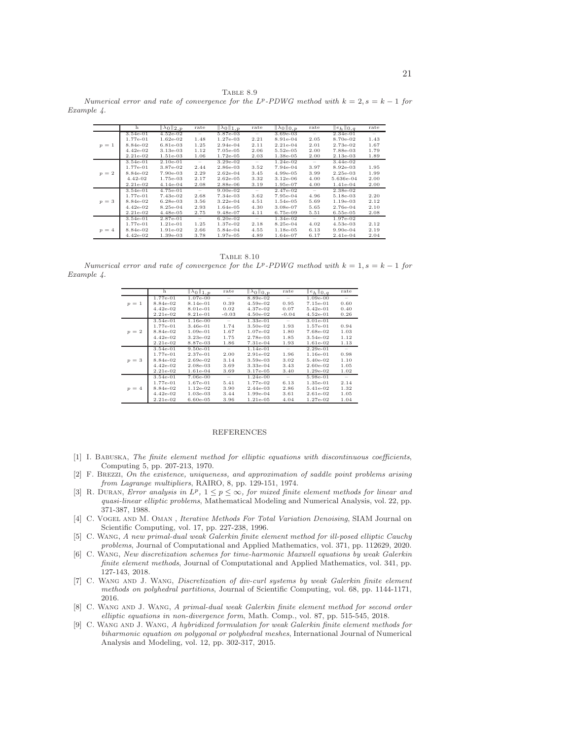<span id="page-20-7"></span>TABLE 8.9 Numerical error and rate of convergence for the  $L^p$ -PDWG method with  $k = 2$ ,  $s = k - 1$  for Example 4.

|         | h           | $\ \lambda_0\ _{2,p}$ | rate              | $\ \lambda_0\ _{1,p}$ | rate                     | $\ \lambda_0\ _{0,p}$ | rate                                                                                        | $\ e_h\ _{0,q}$ | rate                     |
|---------|-------------|-----------------------|-------------------|-----------------------|--------------------------|-----------------------|---------------------------------------------------------------------------------------------|-----------------|--------------------------|
|         | $3.54e-01$  | $4.52e-02$            | $\qquad \qquad =$ | 5.87e-03              | $\qquad \qquad =$        | $3.69e-03$            | $\qquad \qquad =$                                                                           | $2.34e-01$      | $\overline{\phantom{0}}$ |
|         | 1.77e-01    | $1.62e-02$            | 1.48              | $1.27e-03$            | 2.21                     | 8.91e-04              | 2.05                                                                                        | 8.70e-02        | 1.43                     |
| $p = 1$ | 8.84e-02    | $6.81e-03$            | 1.25              | $2.94e-04$            | 2.11                     | $2.21e-04$            | 2.01                                                                                        | 2.73e-02        | 1.67                     |
|         | $4.42e-02$  | $3.13e-03$            | 1.12              | 7.05e-05              | 2.06                     | $5.52e-05$            | 2.00                                                                                        | 7.88e-03        | 1.79                     |
|         | $2.21e-02$  | 1.51e-03              | 1.06              | $1.72e-05$            | 2.03                     | 1.38e-05              | 2.00                                                                                        | $2.13e-03$      | 1.89                     |
|         | $3.54e-01$  | $2.10e-01$            | $\qquad \qquad -$ | $3.29e-02$            | $\overline{\phantom{m}}$ | $1.24e-02$            | $\overline{\phantom{m}}$                                                                    | $3.44e-02$      |                          |
|         | 1.77e-01    | 3.87e-02              | 2.44              | 2.86e-03              | 3.52                     | 7.94e-04              | 3.97                                                                                        | 8.92e-03        | 1.95                     |
| $p = 2$ | 8.84e-02    | 7.90e-03              | 2.29              | $2.62e-04$            | 3.45                     | $4.99e-05$            | 3.99                                                                                        | $2.25e-03$      | 1.99                     |
|         | $4.42 - 02$ | 1.75e-03              | 2.17              | $2.62e-0.5$           | 3.32                     | $3.12e-06$            | 4.00                                                                                        | 5.636e-04       | 2.00                     |
|         | $2.21e-02$  | $4.14e-04$            | 2.08              | 2.88e-06              | 3.19                     | 1.95e-07              | 4.00                                                                                        | 1.41e-04        | 2.00                     |
|         | 3.54e-01    | 4.75e-01              | $\qquad \qquad -$ | $9.00e-02$            | $\hspace{0.1mm}$         | 2.47e-02              | $\overline{\phantom{m}}$                                                                    | 2.38e-02        |                          |
|         | 1.77e-01    | 7.43e-02              | 2.68              | 7.34e-03              | 3.62                     | 7.95e-04              | 4.96                                                                                        | 5.18e-03        | 2.20                     |
| $p = 3$ | 8.84e-02    | $6.28e-03$            | 3.56              | $3.22e-04$            | 4.51                     | $1.54e-05$            | 5.69                                                                                        | 1.19e-03        | 2.12                     |
|         | $4.42e-02$  | 8.25e-04              | 2.93              | $1.64e-05$            | 4.30                     | 3.08e-07              | 5.65                                                                                        | 2.76e-04        | 2.10                     |
|         | $2.21e-02$  | $4.48e-05$            | 2.75              | 9.48e-07              | 4.11                     | 6.75e-09              | 5.51                                                                                        | 6.55e-05        | 2.08                     |
|         | $3.54e-01$  | 2.87e-01              | $\qquad \qquad =$ | $6.20e-02$            | $\overline{\phantom{m}}$ | $1.34e-02$            | $\hspace{0.1in} \hspace{0.1in} \hspace{0.1in} \hspace{0.1in} \hspace{0.1in} \hspace{0.1in}$ | 1.97e-02        |                          |
|         | 1.77e-01    | $1.21e-01$            | 1.25              | 1.37e-02              | 2.18                     | 8.25e-04              | 4.02                                                                                        | $4.53e-03$      | 2.12                     |
| $p = 4$ | 8.84e-02    | 1.91e-02              | 2.66              | 5.84e-04              | 4.55                     | $1.18e-05$            | 6.13                                                                                        | $9.90e-04$      | 2.19                     |
|         | $4.42e-02$  | 1.39e-03              | 3.78              | 1.97e-05              | 4.89                     | 1.64e-07              | 6.17                                                                                        | $2.41e-04$      | 2.04                     |
|         |             |                       |                   |                       |                          |                       |                                                                                             |                 |                          |

Table 8.10

<span id="page-20-8"></span>Numerical error and rate of convergence for the  $L^p$ -PDWG method with  $k = 1, s = k - 1$  for Example 4.

|         | h          | $\ \lambda_0\ _{1,p}$ | rate                     | $\ \lambda_0\ _{0,p}$ | rate                     | $  e_h  _{0,q}$ | rate                     |
|---------|------------|-----------------------|--------------------------|-----------------------|--------------------------|-----------------|--------------------------|
|         | 1.77e-01   | 1.07e-00              | $\overline{\phantom{a}}$ | 8.89e-02              | $\overline{\phantom{a}}$ | 1.09e-00        |                          |
| $p = 1$ | 8.84e-02   | 8.14e-01              | 0.39                     | 4.59e-02              | 0.95                     | 7.15e-01        | 0.60                     |
|         | $4.42e-02$ | 8.01e-01              | 0.02                     | 4.37e-02              | 0.07                     | $5.42e-01$      | 0.40                     |
|         | 2.21e-02   | 8.21e-01              | $-0.03$                  | 4.50e-02              | $-0.04$                  | $4.52e-01$      | 0.26                     |
|         | 3.54e-01   | $1.16e-00$            | $\sim$                   | $1.33e-01$            | $\overline{\phantom{a}}$ | 3.01e-01        |                          |
|         | 1.77e-01   | $3.46e-01$            | 1.74                     | 3.50e-02              | 1.93                     | 1.57e-01        | 0.94                     |
| $p = 2$ | 8.84e-02   | $1.09e-01$            | 1.67                     | 1.07e-02              | 1.80                     | 7.68e-02        | 1.03                     |
|         | $4.42e-02$ | $3.23e-02$            | 1.75                     | 2.78e-03              | 1.85                     | 3.54e-02        | 1.12                     |
|         | $2.21e-02$ | 8.87e-03              | 1.86                     | 7.31e-04              | 1.93                     | 1.61e-02        | 1.13                     |
|         | $3.54e-01$ | $9.50e-01$            | $\sim$                   | $1.14e-01$            | $\sim$                   | $2.29e-01$      | $\overline{\phantom{m}}$ |
|         | 1.77e-01   | 2.37e-01              | 2.00                     | 2.91e-02              | 1.96                     | $1.16e-01$      | 0.98                     |
| $p = 3$ | 8.84e-02   | 2.69e-02              | 3.14                     | 3.59e-03              | 3.02                     | 5.40e-02        | 1.10                     |
|         | $4.42e-02$ | 2.08e-03              | 3.69                     | 3.33e-04              | 3.43                     | 2.60e-02        | 1.05                     |
|         | $2.21e-02$ | 1.61e-04              | 3.69                     | $3.17e-05$            | 3.40                     | $1.29e-02$      | 1.02                     |
|         | 3.54e-01   | 7.06e-00              | $\sim$                   | $1.24e-00$            | $\sim$                   | 5.98e-01        | $\overline{\phantom{a}}$ |
|         | 1.77e-01   | 1.67e-01              | 5.41                     | 1.77e-02              | 6.13                     | $1.35e-01$      | 2.14                     |
| $p = 4$ | 8.84e-02   | $1.12e-02$            | 3.90                     | 2.44e-03              | 2.86                     | 5.41e-02        | 1.32                     |
|         | $4.42e-02$ | $1.03e-03$            | 3.44                     | 1.99e-04              | 3.61                     | $2.61e-02$      | 1.05                     |
|         | 2.21e-02   | $6.60e-0.5$           | 3.96                     | $1.21e-0.5$           | 4.04                     | 1.27e-02        | 1.04                     |

## REFERENCES

- [1] I. BABUSKA, The finite element method for elliptic equations with discontinuous coefficients, Computing 5, pp. 207-213, 1970.
- [2] F. Brezzi, On the existence, uniqueness, and approximation of saddle point problems arising from Lagrange multipliers, RAIRO, 8, pp. 129-151, 1974.
- <span id="page-20-4"></span>[3] R. DURAN, Error analysis in  $L^p$ ,  $1 \leq p \leq \infty$ , for mixed finite element methods for linear and quasi-linear elliptic problems, Mathematical Modeling and Numerical Analysis, vol. 22, pp. 371-387, 1988.
- <span id="page-20-6"></span>[4] C. VOGEL AND M. OMAN, *Iterative Methods For Total Variation Denoising*, SIAM Journal on Scientific Computing, vol. 17, pp. 227-238, 1996.
- <span id="page-20-5"></span>[5] C. Wang, A new primal-dual weak Galerkin finite element method for ill-posed elliptic Cauchy problems, Journal of Computational and Applied Mathematics, vol. 371, pp. 112629, 2020.
- <span id="page-20-1"></span>[6] C. Wang, New discretization schemes for time-harmonic Maxwell equations by weak Galerkin finite element methods, Journal of Computational and Applied Mathematics, vol. 341, pp. 127-143, 2018.
- <span id="page-20-2"></span>[7] C. Wang and J. Wang, Discretization of div-curl systems by weak Galerkin finite element methods on polyhedral partitions, Journal of Scientific Computing, vol. 68, pp. 1144-1171, 2016.
- <span id="page-20-0"></span>[8] C. WANG AND J. WANG, A primal-dual weak Galerkin finite element method for second order elliptic equations in non-divergence form, Math. Comp., vol. 87, pp. 515-545, 2018.
- <span id="page-20-3"></span>[9] C. WANG AND J. WANG, A hybridized formulation for weak Galerkin finite element methods for biharmonic equation on polygonal or polyhedral meshes, International Journal of Numerical Analysis and Modeling, vol. 12, pp. 302-317, 2015.